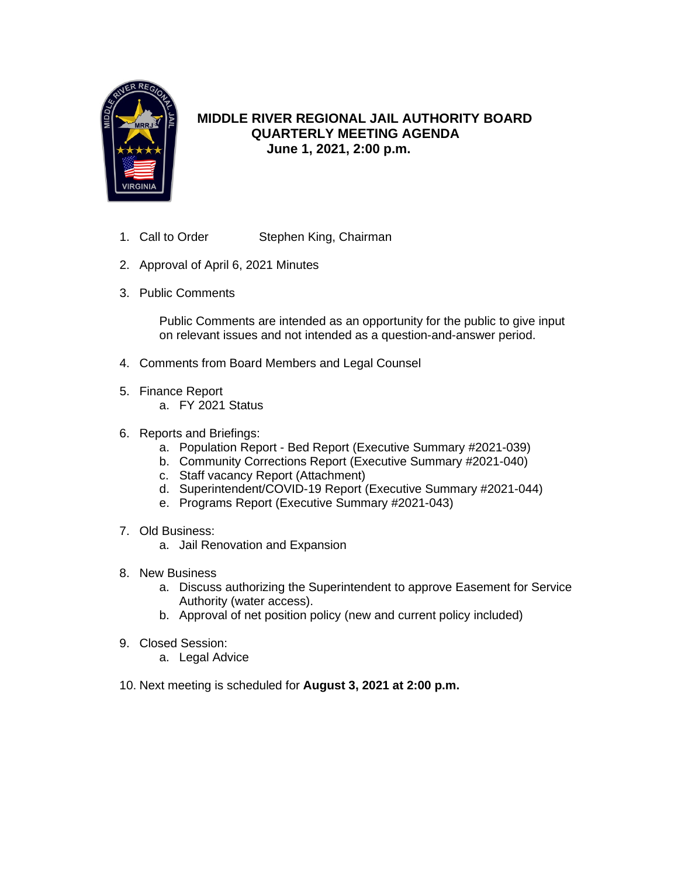

# **MIDDLE RIVER REGIONAL JAIL AUTHORITY BOARD QUARTERLY MEETING AGENDA June 1, 2021, 2:00 p.m.**

- 1. Call to Order Stephen King, Chairman
- 2. Approval of April 6, 2021 Minutes
- 3. Public Comments

Public Comments are intended as an opportunity for the public to give input on relevant issues and not intended as a question-and-answer period.

- 4. Comments from Board Members and Legal Counsel
- 5. Finance Report
	- a. FY 2021 Status
- 6. Reports and Briefings:
	- a. Population Report Bed Report (Executive Summary #2021-039)
	- b. Community Corrections Report (Executive Summary #2021-040)
	- c. Staff vacancy Report (Attachment)
	- d. Superintendent/COVID-19 Report (Executive Summary #2021-044)
	- e. Programs Report (Executive Summary #2021-043)
- 7. Old Business:
	- a. Jail Renovation and Expansion
- 8. New Business
	- a. Discuss authorizing the Superintendent to approve Easement for Service Authority (water access).
	- b. Approval of net position policy (new and current policy included)
- 9. Closed Session:
	- a. Legal Advice
- 10. Next meeting is scheduled for **August 3, 2021 at 2:00 p.m.**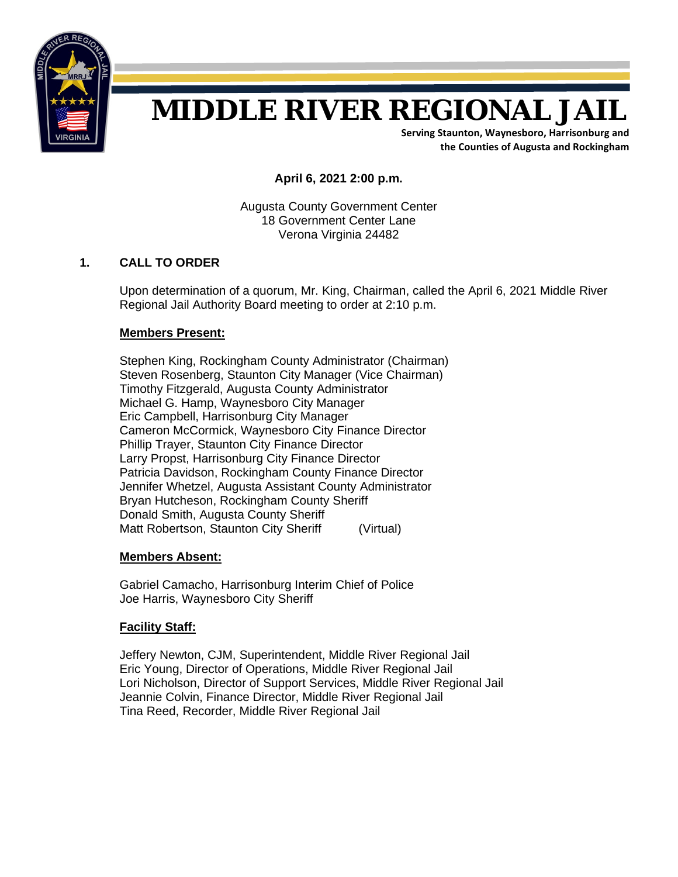

# **MIDDLE RIVER REGIONAL JAIL**

**Serving Staunton, Waynesboro, Harrisonburg and the Counties of Augusta and Rockingham**

**April 6, 2021 2:00 p.m.**

Augusta County Government Center 18 Government Center Lane Verona Virginia 24482

# **1. CALL TO ORDER**

Upon determination of a quorum, Mr. King, Chairman, called the April 6, 2021 Middle River Regional Jail Authority Board meeting to order at 2:10 p.m.

# **Members Present:**

Stephen King, Rockingham County Administrator (Chairman) Steven Rosenberg, Staunton City Manager (Vice Chairman) Timothy Fitzgerald, Augusta County Administrator Michael G. Hamp, Waynesboro City Manager Eric Campbell, Harrisonburg City Manager Cameron McCormick, Waynesboro City Finance Director Phillip Trayer, Staunton City Finance Director Larry Propst, Harrisonburg City Finance Director Patricia Davidson, Rockingham County Finance Director Jennifer Whetzel, Augusta Assistant County Administrator Bryan Hutcheson, Rockingham County Sheriff Donald Smith, Augusta County Sheriff Matt Robertson, Staunton City Sheriff (Virtual)

# **Members Absent:**

Gabriel Camacho, Harrisonburg Interim Chief of Police Joe Harris, Waynesboro City Sheriff

# **Facility Staff:**

Jeffery Newton, CJM, Superintendent, Middle River Regional Jail Eric Young, Director of Operations, Middle River Regional Jail Lori Nicholson, Director of Support Services, Middle River Regional Jail Jeannie Colvin, Finance Director, Middle River Regional Jail Tina Reed, Recorder, Middle River Regional Jail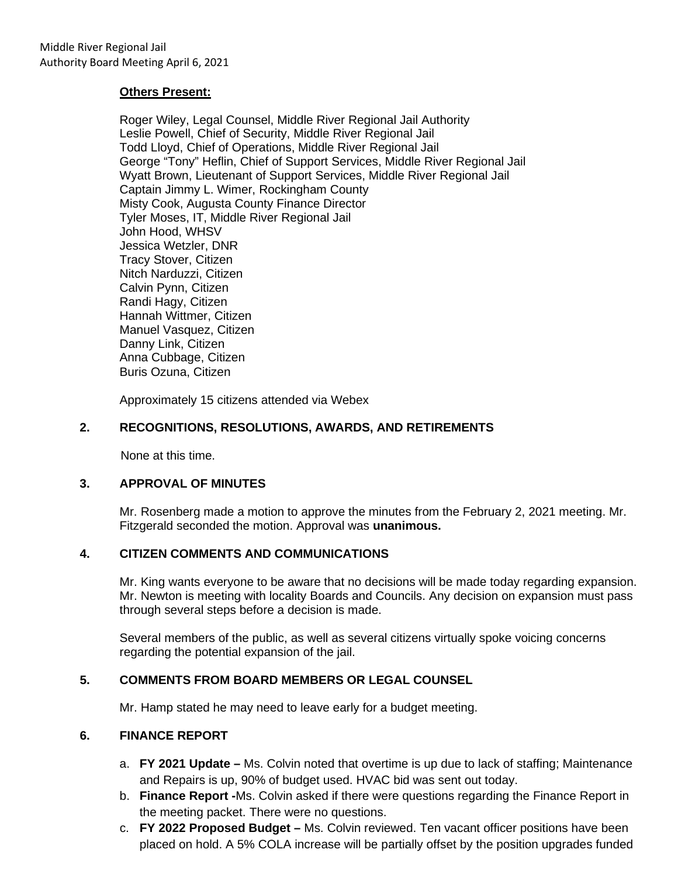#### **Others Present:**

Roger Wiley, Legal Counsel, Middle River Regional Jail Authority Leslie Powell, Chief of Security, Middle River Regional Jail Todd Lloyd, Chief of Operations, Middle River Regional Jail George "Tony" Heflin, Chief of Support Services, Middle River Regional Jail Wyatt Brown, Lieutenant of Support Services, Middle River Regional Jail Captain Jimmy L. Wimer, Rockingham County Misty Cook, Augusta County Finance Director Tyler Moses, IT, Middle River Regional Jail John Hood, WHSV Jessica Wetzler, DNR Tracy Stover, Citizen Nitch Narduzzi, Citizen Calvin Pynn, Citizen Randi Hagy, Citizen Hannah Wittmer, Citizen Manuel Vasquez, Citizen Danny Link, Citizen Anna Cubbage, Citizen Buris Ozuna, Citizen

Approximately 15 citizens attended via Webex

#### **2. RECOGNITIONS, RESOLUTIONS, AWARDS, AND RETIREMENTS**

None at this time.

#### **3. APPROVAL OF MINUTES**

Mr. Rosenberg made a motion to approve the minutes from the February 2, 2021 meeting. Mr. Fitzgerald seconded the motion. Approval was **unanimous.**

# **4. CITIZEN COMMENTS AND COMMUNICATIONS**

Mr. King wants everyone to be aware that no decisions will be made today regarding expansion. Mr. Newton is meeting with locality Boards and Councils. Any decision on expansion must pass through several steps before a decision is made.

Several members of the public, as well as several citizens virtually spoke voicing concerns regarding the potential expansion of the jail.

# **5. COMMENTS FROM BOARD MEMBERS OR LEGAL COUNSEL**

Mr. Hamp stated he may need to leave early for a budget meeting.

#### **6. FINANCE REPORT**

- a. **FY 2021 Update –** Ms. Colvin noted that overtime is up due to lack of staffing; Maintenance and Repairs is up, 90% of budget used. HVAC bid was sent out today.
- b. **Finance Report -**Ms. Colvin asked if there were questions regarding the Finance Report in the meeting packet. There were no questions.
- c. **FY 2022 Proposed Budget –** Ms. Colvin reviewed. Ten vacant officer positions have been placed on hold. A 5% COLA increase will be partially offset by the position upgrades funded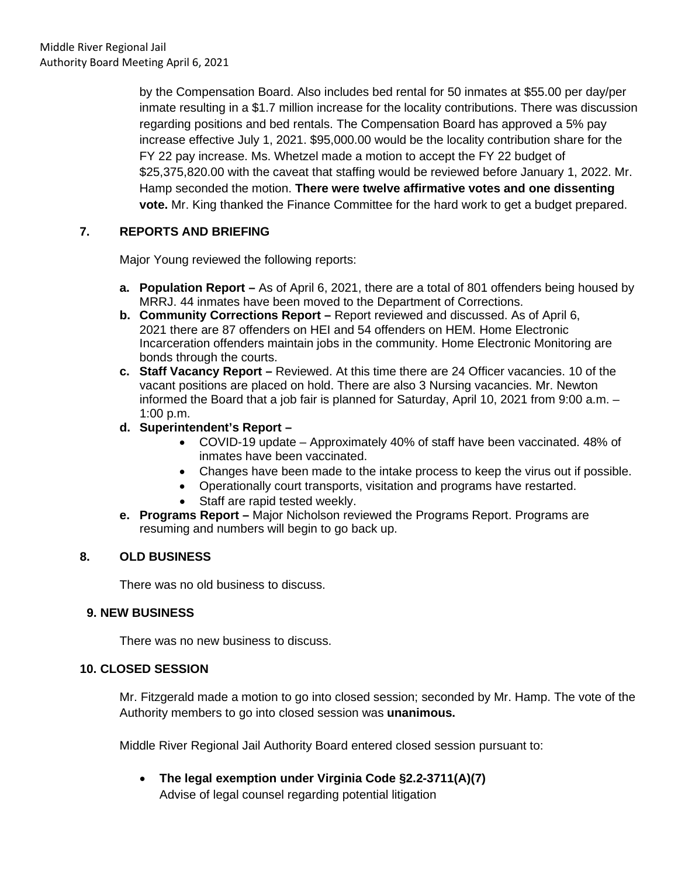by the Compensation Board. Also includes bed rental for 50 inmates at \$55.00 per day/per inmate resulting in a \$1.7 million increase for the locality contributions. There was discussion regarding positions and bed rentals. The Compensation Board has approved a 5% pay increase effective July 1, 2021. \$95,000.00 would be the locality contribution share for the FY 22 pay increase. Ms. Whetzel made a motion to accept the FY 22 budget of \$25,375,820.00 with the caveat that staffing would be reviewed before January 1, 2022. Mr. Hamp seconded the motion. **There were twelve affirmative votes and one dissenting vote.** Mr. King thanked the Finance Committee for the hard work to get a budget prepared.

# **7. REPORTS AND BRIEFING**

Major Young reviewed the following reports:

- **a. Population Report –** As of April 6, 2021, there are a total of 801 offenders being housed by MRRJ. 44 inmates have been moved to the Department of Corrections.
- **b. Community Corrections Report –** Report reviewed and discussed. As of April 6, 2021 there are 87 offenders on HEI and 54 offenders on HEM. Home Electronic Incarceration offenders maintain jobs in the community. Home Electronic Monitoring are bonds through the courts.
- **c. Staff Vacancy Report –** Reviewed. At this time there are 24 Officer vacancies. 10 of the vacant positions are placed on hold. There are also 3 Nursing vacancies. Mr. Newton informed the Board that a job fair is planned for Saturday, April 10, 2021 from 9:00 a.m. – 1:00 p.m.
- **d. Superintendent's Report –**
	- COVID-19 update Approximately 40% of staff have been vaccinated. 48% of inmates have been vaccinated.
	- Changes have been made to the intake process to keep the virus out if possible.
	- Operationally court transports, visitation and programs have restarted.
	- Staff are rapid tested weekly.
- **e. Programs Report –** Major Nicholson reviewed the Programs Report. Programs are resuming and numbers will begin to go back up.

# **8. OLD BUSINESS**

There was no old business to discuss.

# **9. NEW BUSINESS**

There was no new business to discuss.

# **10. CLOSED SESSION**

Mr. Fitzgerald made a motion to go into closed session; seconded by Mr. Hamp. The vote of the Authority members to go into closed session was **unanimous.**

Middle River Regional Jail Authority Board entered closed session pursuant to:

• **The legal exemption under Virginia Code §2.2-3711(A)(7)**

Advise of legal counsel regarding potential litigation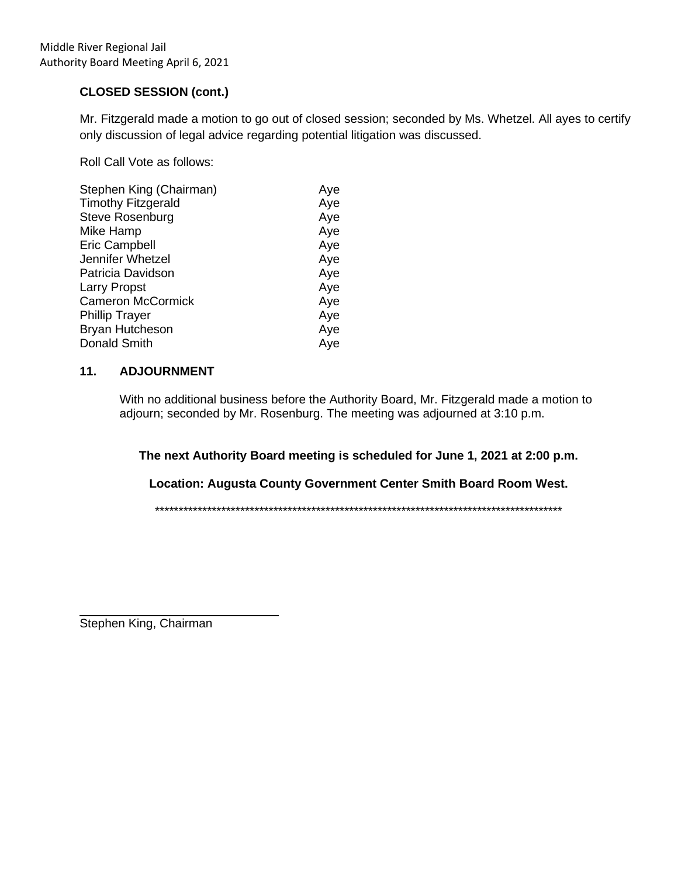# **CLOSED SESSION (cont.)**

Mr. Fitzgerald made a motion to go out of closed session; seconded by Ms. Whetzel. All ayes to certify only discussion of legal advice regarding potential litigation was discussed.

Roll Call Vote as follows:

| Aye |
|-----|
| Aye |
| Aye |
| Aye |
| Aye |
| Aye |
| Aye |
| Aye |
| Aye |
| Aye |
| Aye |
| Aye |
|     |

#### **11. ADJOURNMENT**

With no additional business before the Authority Board, Mr. Fitzgerald made a motion to adjourn; seconded by Mr. Rosenburg. The meeting was adjourned at 3:10 p.m.

**The next Authority Board meeting is scheduled for June 1, 2021 at 2:00 p.m.**

**Location: Augusta County Government Center Smith Board Room West.**

\*\*\*\*\*\*\*\*\*\*\*\*\*\*\*\*\*\*\*\*\*\*\*\*\*\*\*\*\*\*\*\*\*\*\*\*\*\*\*\*\*\*\*\*\*\*\*\*\*\*\*\*\*\*\*\*\*\*\*\*\*\*\*\*\*\*\*\*\*\*\*\*\*\*\*\*\*\*\*\*\*\*\*\*\*\*

 $\overline{a}$ Stephen King, Chairman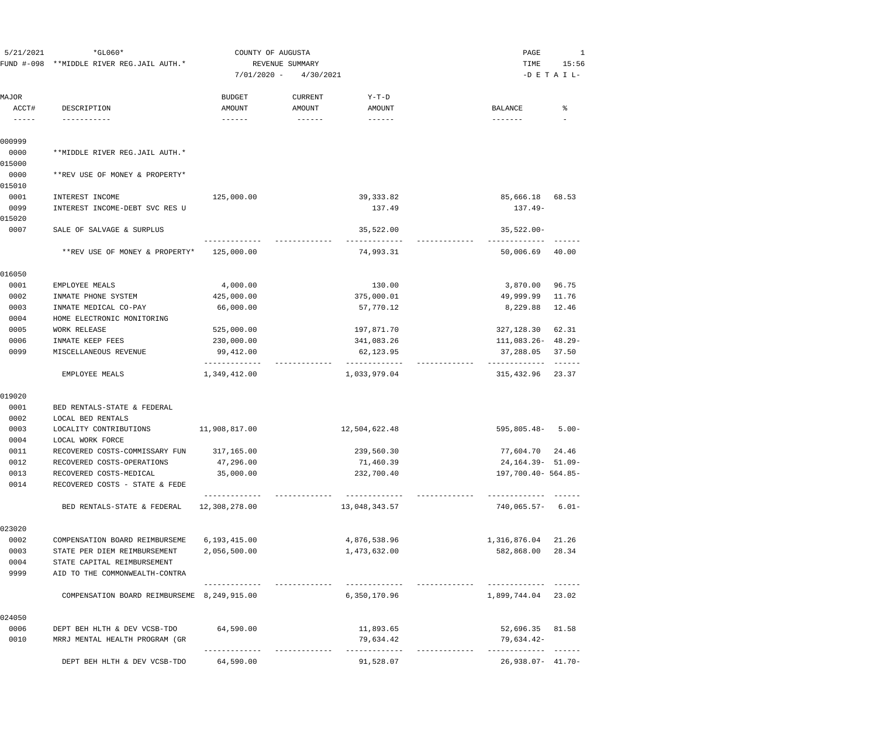| 5/21/2021                                                                                                                                                                                                                                                                                                                                                                                             | FUND #-098 **MIDDLE RIVER REG.JAIL AUTH.*<br>$7/01/2020 -$ |                           | COUNTY OF AUGUSTA<br>REVENUE SUMMARY<br>4/30/2021 |                                             | $*GLO60*$                                     |       | PAGE<br>TIME | 1<br>15:56<br>$-D$ E T A I L- |
|-------------------------------------------------------------------------------------------------------------------------------------------------------------------------------------------------------------------------------------------------------------------------------------------------------------------------------------------------------------------------------------------------------|------------------------------------------------------------|---------------------------|---------------------------------------------------|---------------------------------------------|-----------------------------------------------|-------|--------------|-------------------------------|
| MAJOR                                                                                                                                                                                                                                                                                                                                                                                                 |                                                            | <b>BUDGET</b>             | <b>CURRENT</b>                                    | $Y-T-D$                                     |                                               |       |              |                               |
| ACCT#<br>$\frac{1}{2} \frac{1}{2} \frac{1}{2} \frac{1}{2} \frac{1}{2} \frac{1}{2} \frac{1}{2} \frac{1}{2} \frac{1}{2} \frac{1}{2} \frac{1}{2} \frac{1}{2} \frac{1}{2} \frac{1}{2} \frac{1}{2} \frac{1}{2} \frac{1}{2} \frac{1}{2} \frac{1}{2} \frac{1}{2} \frac{1}{2} \frac{1}{2} \frac{1}{2} \frac{1}{2} \frac{1}{2} \frac{1}{2} \frac{1}{2} \frac{1}{2} \frac{1}{2} \frac{1}{2} \frac{1}{2} \frac{$ | DESCRIPTION<br>-----------                                 | AMOUNT<br>$- - - - - -$   | AMOUNT<br>$- - - - - - -$                         | AMOUNT<br>$- - - - - -$                     | <b>BALANCE</b><br>-------                     | ႜ     |              |                               |
| 000999                                                                                                                                                                                                                                                                                                                                                                                                |                                                            |                           |                                                   |                                             |                                               |       |              |                               |
| 0000<br>015000                                                                                                                                                                                                                                                                                                                                                                                        | **MIDDLE RIVER REG.JAIL AUTH.*                             |                           |                                                   |                                             |                                               |       |              |                               |
| 0000                                                                                                                                                                                                                                                                                                                                                                                                  | **REV USE OF MONEY & PROPERTY*                             |                           |                                                   |                                             |                                               |       |              |                               |
| 015010                                                                                                                                                                                                                                                                                                                                                                                                |                                                            |                           |                                                   |                                             |                                               |       |              |                               |
| 0001                                                                                                                                                                                                                                                                                                                                                                                                  | INTEREST INCOME                                            | 125,000.00                |                                                   | 39, 333.82                                  | 85,666.18                                     | 68.53 |              |                               |
| 0099                                                                                                                                                                                                                                                                                                                                                                                                  | INTEREST INCOME-DEBT SVC RES U                             |                           |                                                   | 137.49                                      | $137.49-$                                     |       |              |                               |
| 015020<br>0007                                                                                                                                                                                                                                                                                                                                                                                        | SALE OF SALVAGE & SURPLUS                                  |                           |                                                   | 35,522.00                                   | $35,522.00 -$                                 |       |              |                               |
|                                                                                                                                                                                                                                                                                                                                                                                                       | **REV USE OF MONEY & PROPERTY*                             | 125,000.00                |                                                   | 74,993.31                                   | 50,006.69                                     | 40.00 |              |                               |
| 016050                                                                                                                                                                                                                                                                                                                                                                                                |                                                            |                           |                                                   |                                             |                                               |       |              |                               |
| 0001                                                                                                                                                                                                                                                                                                                                                                                                  | EMPLOYEE MEALS                                             | 4,000.00                  |                                                   | 130.00                                      | 3,870.00                                      | 96.75 |              |                               |
| 0002                                                                                                                                                                                                                                                                                                                                                                                                  | INMATE PHONE SYSTEM                                        | 425,000.00                |                                                   | 375,000.01                                  | 49,999.99                                     | 11.76 |              |                               |
| 0003                                                                                                                                                                                                                                                                                                                                                                                                  | INMATE MEDICAL CO-PAY                                      | 66,000.00                 |                                                   | 57,770.12                                   | 8,229.88                                      | 12.46 |              |                               |
| 0004                                                                                                                                                                                                                                                                                                                                                                                                  | HOME ELECTRONIC MONITORING                                 |                           |                                                   |                                             |                                               |       |              |                               |
| 0005                                                                                                                                                                                                                                                                                                                                                                                                  | WORK RELEASE                                               | 525,000.00                |                                                   | 197,871.70                                  | 327,128.30                                    | 62.31 |              |                               |
| 0006                                                                                                                                                                                                                                                                                                                                                                                                  | INMATE KEEP FEES                                           | 230,000.00                |                                                   | 341,083.26                                  | $111,083.26 - 48.29 -$                        |       |              |                               |
| 0099                                                                                                                                                                                                                                                                                                                                                                                                  | MISCELLANEOUS REVENUE                                      | 99,412.00<br>------------ |                                                   | 62,123.95                                   | 37,288.05                                     | 37.50 |              |                               |
|                                                                                                                                                                                                                                                                                                                                                                                                       | EMPLOYEE MEALS                                             | 1,349,412.00              |                                                   | 1,033,979.04                                | 315,432.96                                    | 23.37 |              |                               |
| 019020                                                                                                                                                                                                                                                                                                                                                                                                |                                                            |                           |                                                   |                                             |                                               |       |              |                               |
| 0001                                                                                                                                                                                                                                                                                                                                                                                                  | BED RENTALS-STATE & FEDERAL                                |                           |                                                   |                                             |                                               |       |              |                               |
| 0002                                                                                                                                                                                                                                                                                                                                                                                                  | LOCAL BED RENTALS                                          |                           |                                                   |                                             |                                               |       |              |                               |
| 0003                                                                                                                                                                                                                                                                                                                                                                                                  | LOCALITY CONTRIBUTIONS                                     | 11,908,817.00             |                                                   | 12,504,622.48                               | $595,805.48 - 5.00 -$                         |       |              |                               |
| 0004                                                                                                                                                                                                                                                                                                                                                                                                  | LOCAL WORK FORCE                                           |                           |                                                   |                                             |                                               |       |              |                               |
| 0011                                                                                                                                                                                                                                                                                                                                                                                                  | RECOVERED COSTS-COMMISSARY FUN                             | 317,165.00                |                                                   | 239,560.30                                  | 77,604.70                                     | 24.46 |              |                               |
| 0012<br>0013                                                                                                                                                                                                                                                                                                                                                                                          | RECOVERED COSTS-OPERATIONS<br>RECOVERED COSTS-MEDICAL      | 47,296.00                 |                                                   | 71,460.39<br>232,700.40                     | 24, 164. 39 - 51. 09 -<br>197,700.40- 564.85- |       |              |                               |
| 0014                                                                                                                                                                                                                                                                                                                                                                                                  | RECOVERED COSTS - STATE & FEDE                             | 35,000.00                 |                                                   |                                             |                                               |       |              |                               |
|                                                                                                                                                                                                                                                                                                                                                                                                       |                                                            | ------------              |                                                   | . _ _ _ _ _ _ _ _ _ _ _ _<br>______________ | . _ _ _ _ _ _ _ _ _ _ _ _ _ _ _ _ _           |       |              |                               |
|                                                                                                                                                                                                                                                                                                                                                                                                       | BED RENTALS-STATE & FEDERAL                                | 12,308,278.00             |                                                   | 13,048,343.57                               | $740,065.57 - 6.01 -$                         |       |              |                               |
| 023020                                                                                                                                                                                                                                                                                                                                                                                                |                                                            |                           |                                                   |                                             |                                               |       |              |                               |
| 0002                                                                                                                                                                                                                                                                                                                                                                                                  | COMPENSATION BOARD REIMBURSEME                             | 6,193,415.00              |                                                   | 4,876,538.96                                | 1,316,876.04 21.26                            |       |              |                               |
| 0003                                                                                                                                                                                                                                                                                                                                                                                                  | STATE PER DIEM REIMBURSEMENT                               | 2,056,500.00              |                                                   | 1,473,632.00                                | 582,868.00                                    | 28.34 |              |                               |
| 0004                                                                                                                                                                                                                                                                                                                                                                                                  | STATE CAPITAL REIMBURSEMENT                                |                           |                                                   |                                             |                                               |       |              |                               |
| 9999                                                                                                                                                                                                                                                                                                                                                                                                  | AID TO THE COMMONWEALTH-CONTRA                             |                           |                                                   |                                             |                                               |       |              |                               |
|                                                                                                                                                                                                                                                                                                                                                                                                       | COMPENSATION BOARD REIMBURSEME 8,249,915.00                |                           |                                                   | 6,350,170.96                                | 1,899,744.04 23.02                            |       |              |                               |
| 024050                                                                                                                                                                                                                                                                                                                                                                                                |                                                            |                           |                                                   |                                             |                                               |       |              |                               |
| 0006                                                                                                                                                                                                                                                                                                                                                                                                  | DEPT BEH HLTH & DEV VCSB-TDO                               | 64,590.00                 |                                                   | 11,893.65                                   | 52,696.35 81.58                               |       |              |                               |
| 0010                                                                                                                                                                                                                                                                                                                                                                                                  | MRRJ MENTAL HEALTH PROGRAM (GR                             |                           |                                                   | 79,634.42<br>-----------                    | 79,634.42-                                    |       |              |                               |
|                                                                                                                                                                                                                                                                                                                                                                                                       | DEPT BEH HLTH & DEV VCSB-TDO                               | 64,590.00                 |                                                   | 91,528.07                                   | $26,938.07 - 41.70 -$                         |       |              |                               |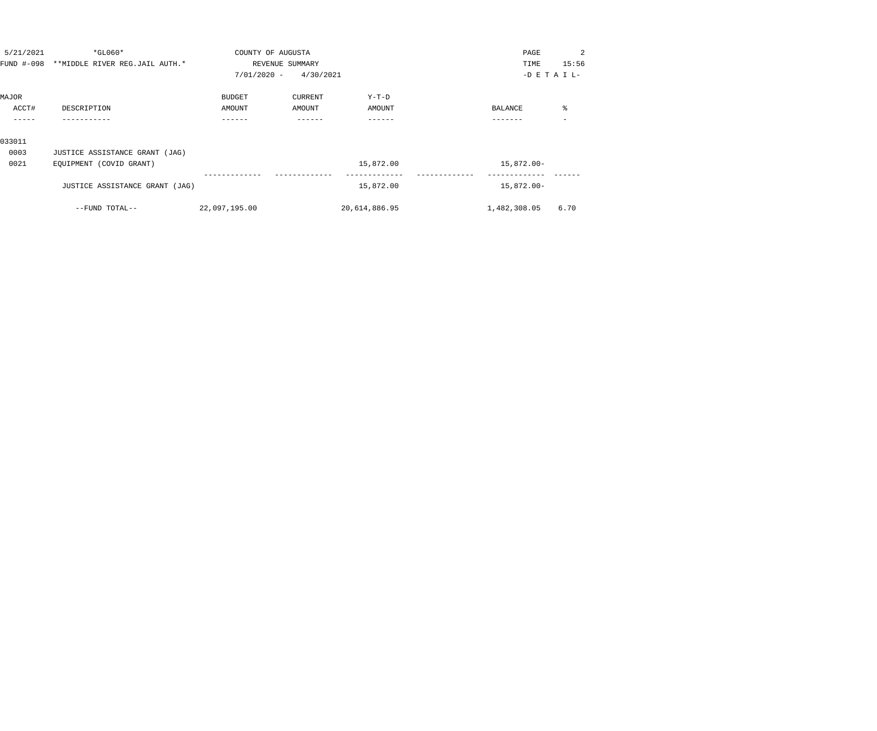| 5/21/2021 | $*$ GL060*                                | COUNTY OF AUGUSTA |                 |               | PAGE            | 2     |
|-----------|-------------------------------------------|-------------------|-----------------|---------------|-----------------|-------|
|           | FUND #-098 **MIDDLE RIVER REG.JAIL AUTH.* |                   | REVENUE SUMMARY |               | TIME            | 15:56 |
|           |                                           | $7/01/2020 -$     | 4/30/2021       |               | $-D$ E T A I L- |       |
| MAJOR     |                                           | <b>BUDGET</b>     | CURRENT         | $Y-T-D$       |                 |       |
| ACCT#     | DESCRIPTION                               | AMOUNT            | AMOUNT          | AMOUNT        | BALANCE         | ႜ     |
|           |                                           | ------            |                 | ------        |                 |       |
| 033011    |                                           |                   |                 |               |                 |       |
| 0003      | JUSTICE ASSISTANCE GRANT (JAG)            |                   |                 |               |                 |       |
| 0021      | EQUIPMENT (COVID GRANT)                   |                   |                 | 15,872.00     | 15,872.00-      |       |
|           | JUSTICE ASSISTANCE GRANT (JAG)            |                   |                 | 15,872.00     | 15,872.00-      |       |
|           | --FUND TOTAL--                            | 22,097,195.00     |                 | 20,614,886.95 | 1,482,308.05    | 6.70  |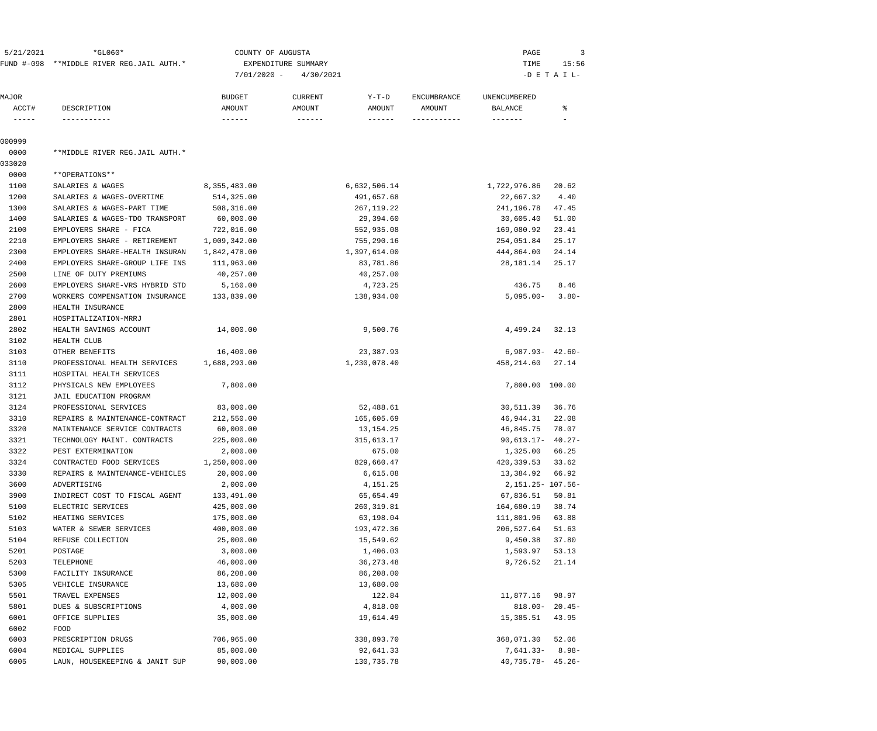| 5/21/2021              | $*GLO60*$                                 | COUNTY OF AUGUSTA         |                                               |                       | PAGE                   | 3                  |
|------------------------|-------------------------------------------|---------------------------|-----------------------------------------------|-----------------------|------------------------|--------------------|
|                        | FUND #-098 **MIDDLE RIVER REG.JAIL AUTH.* |                           | EXPENDITURE SUMMARY                           |                       | TIME                   | 15:56              |
|                        |                                           | $7/01/2020 -$             | 4/30/2021                                     |                       |                        | $-D$ E T A I L-    |
|                        |                                           |                           |                                               |                       |                        |                    |
| MAJOR                  |                                           | <b>BUDGET</b>             | $Y-T-D$<br><b>CURRENT</b>                     | <b>ENCUMBRANCE</b>    | UNENCUMBERED           |                    |
| ACCT#<br>$- - - - - -$ | DESCRIPTION<br>-----------                | AMOUNT<br>$- - - - - - -$ | AMOUNT<br>AMOUNT<br>$- - - - - - -$<br>------ | AMOUNT<br>----------- | BALANCE<br>-------     | ႜ                  |
| 000999                 |                                           |                           |                                               |                       |                        |                    |
| 0000                   | **MIDDLE RIVER REG.JAIL AUTH.*            |                           |                                               |                       |                        |                    |
| 033020                 |                                           |                           |                                               |                       |                        |                    |
| 0000                   | **OPERATIONS**                            |                           |                                               |                       |                        |                    |
| 1100                   | SALARIES & WAGES                          | 8,355,483.00              | 6,632,506.14                                  |                       | 1,722,976.86           | 20.62              |
| 1200                   | SALARIES & WAGES-OVERTIME                 | 514,325.00                | 491,657.68                                    |                       | 22,667.32              | 4.40               |
| 1300                   | SALARIES & WAGES-PART TIME                | 508,316.00                | 267, 119.22                                   |                       | 241,196.78             | 47.45              |
| 1400                   | SALARIES & WAGES-TDO TRANSPORT            | 60,000.00                 | 29,394.60                                     |                       | 30,605.40              | 51.00              |
| 2100                   | EMPLOYERS SHARE - FICA                    | 722,016.00                | 552,935.08                                    |                       | 169,080.92             | 23.41              |
| 2210                   | EMPLOYERS SHARE - RETIREMENT              | 1,009,342.00              | 755,290.16                                    |                       | 254,051.84             | 25.17              |
| 2300                   | EMPLOYERS SHARE-HEALTH INSURAN            | 1,842,478.00              | 1,397,614.00                                  |                       | 444,864.00             | 24.14              |
| 2400                   | EMPLOYERS SHARE-GROUP LIFE INS            | 111,963.00                | 83,781.86                                     |                       | 28,181.14              | 25.17              |
| 2500                   | LINE OF DUTY PREMIUMS                     | 40,257.00                 | 40,257.00                                     |                       |                        |                    |
| 2600                   | EMPLOYERS SHARE-VRS HYBRID STD            | 5,160.00                  | 4,723.25                                      |                       | 436.75                 | 8.46               |
| 2700                   | WORKERS COMPENSATION INSURANCE            | 133,839.00                | 138,934.00                                    |                       | $5,095.00 -$           | $3.80 -$           |
| 2800                   | HEALTH INSURANCE                          |                           |                                               |                       |                        |                    |
| 2801                   | HOSPITALIZATION-MRRJ                      |                           |                                               |                       |                        |                    |
| 2802                   | HEALTH SAVINGS ACCOUNT                    | 14,000.00                 | 9,500.76                                      |                       | 4,499.24               | 32.13              |
|                        | <b>HEALTH CLUB</b>                        |                           |                                               |                       |                        |                    |
| 3102                   |                                           |                           |                                               |                       |                        |                    |
| 3103                   | OTHER BENEFITS                            | 16,400.00                 | 23,387.93                                     |                       | $6,987.93 - 42.60 -$   |                    |
| 3110                   | PROFESSIONAL HEALTH SERVICES              | 1,688,293.00              | 1,230,078.40                                  |                       | 458,214.60             | 27.14              |
| 3111                   | HOSPITAL HEALTH SERVICES                  |                           |                                               |                       |                        |                    |
| 3112                   | PHYSICALS NEW EMPLOYEES                   | 7,800.00                  |                                               |                       | 7,800.00 100.00        |                    |
| 3121                   | JAIL EDUCATION PROGRAM                    |                           |                                               |                       |                        |                    |
| 3124                   | PROFESSIONAL SERVICES                     | 83,000.00                 | 52,488.61                                     |                       | 30,511.39              | 36.76              |
| 3310                   | REPAIRS & MAINTENANCE-CONTRACT            | 212,550.00                | 165,605.69                                    |                       | 46,944.31              | 22.08              |
| 3320                   | MAINTENANCE SERVICE CONTRACTS             | 60,000.00                 | 13,154.25                                     |                       | 46,845.75              | 78.07              |
| 3321                   | TECHNOLOGY MAINT. CONTRACTS               | 225,000.00                | 315,613.17                                    |                       | $90,613.17 - 40.27 -$  |                    |
| 3322                   | PEST EXTERMINATION                        | 2,000.00                  | 675.00                                        |                       | 1,325.00               | 66.25              |
| 3324                   | CONTRACTED FOOD SERVICES                  | 1,250,000.00              | 829,660.47                                    |                       | 420, 339.53 33.62      |                    |
| 3330                   | REPAIRS & MAINTENANCE-VEHICLES            | 20,000.00                 | 6,615.08                                      |                       | 13,384.92              | 66.92              |
| 3600                   | ADVERTISING                               | 2,000.00                  | 4,151.25                                      |                       | 2, 151. 25 - 107. 56 - |                    |
| 3900                   | INDIRECT COST TO FISCAL AGENT             | 133,491.00                | 65,654.49                                     |                       | 67,836.51              | 50.81              |
| 5100                   | ELECTRIC SERVICES                         | 425,000.00                | 260, 319.81                                   |                       | 164,680.19             | 38.74              |
| 5102                   | HEATING SERVICES                          | 175,000.00                | 63,198.04                                     |                       | 111,801.96             | 63.88              |
| 5103                   | WATER & SEWER SERVICES                    | 400,000.00                | 193,472.36                                    |                       | 206,527.64             | 51.63              |
| 5104                   | REFUSE COLLECTION                         | 25,000.00                 | 15,549.62                                     |                       | 9,450.38               | 37.80              |
| 5201                   | POSTAGE                                   | 3,000.00                  | 1,406.03                                      |                       | 1,593.97               | 53.13              |
| 5203                   | TELEPHONE                                 | 46,000.00                 | 36, 273. 48                                   |                       | 9,726.52               | 21.14              |
| 5300                   | FACILITY INSURANCE                        | 86,208.00                 | 86,208.00                                     |                       |                        |                    |
| 5305                   | VEHICLE INSURANCE                         | 13,680.00                 | 13,680.00                                     |                       |                        |                    |
| 5501                   | TRAVEL EXPENSES                           | 12,000.00                 | 122.84                                        |                       | 11,877.16              | 98.97              |
| 5801                   | DUES & SUBSCRIPTIONS                      | 4,000.00                  | 4,818.00                                      |                       |                        | $818.00 - 20.45 -$ |
| 6001                   | OFFICE SUPPLIES                           | 35,000.00                 | 19,614.49                                     |                       | 15,385.51              | 43.95              |
| 6002                   | FOOD                                      |                           |                                               |                       |                        |                    |
| 6003                   | PRESCRIPTION DRUGS                        | 706,965.00                | 338,893.70                                    |                       | 368,071.30             | 52.06              |
| 6004                   | MEDICAL SUPPLIES                          | 85,000.00                 | 92,641.33                                     |                       | 7,641.33-              | $8.98-$            |
| 6005                   | LAUN, HOUSEKEEPING & JANIT SUP            | 90,000.00                 | 130,735.78                                    |                       | $40,735.78 - 45.26 -$  |                    |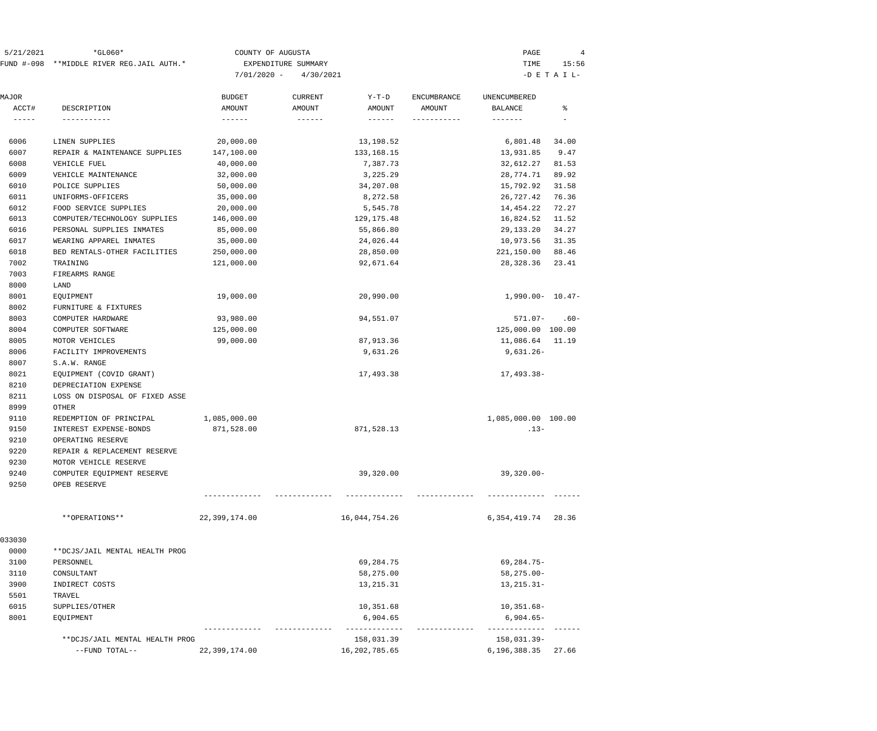| 5/21/2021 | $*GLO60*$                                 | COUNTY OF AUGUSTA       | PAGE     |       |
|-----------|-------------------------------------------|-------------------------|----------|-------|
|           | FUND #-098 **MIDDLE RIVER REG.JAIL AUTH.* | EXPENDITURE SUMMARY     | TIME     | 15:56 |
|           |                                           | $7/01/2020 - 4/30/2021$ | -DETAIL- |       |

| MAJOR<br>ACCT#                                                 | DESCRIPTION                    | <b>BUDGET</b><br>AMOUNT | <b>CURRENT</b><br>AMOUNT | $Y-T-D$<br>AMOUNT | <b>ENCUMBRANCE</b><br>AMOUNT | UNENCUMBERED<br><b>BALANCE</b> | ిక     |
|----------------------------------------------------------------|--------------------------------|-------------------------|--------------------------|-------------------|------------------------------|--------------------------------|--------|
| $\begin{tabular}{ccccc} - & - & - & - \\ \hline \end{tabular}$ | -----------                    | $- - - - - - -$         |                          |                   | -----------                  | -------                        |        |
| 6006                                                           | LINEN SUPPLIES                 | 20,000.00               |                          | 13,198.52         |                              | 6,801.48                       | 34.00  |
| 6007                                                           | REPAIR & MAINTENANCE SUPPLIES  | 147,100.00              |                          | 133, 168. 15      |                              | 13,931.85                      | 9.47   |
| 6008                                                           | VEHICLE FUEL                   | 40,000.00               |                          | 7,387.73          |                              | 32,612.27                      | 81.53  |
| 6009                                                           | VEHICLE MAINTENANCE            | 32,000.00               |                          | 3,225.29          |                              | 28,774.71                      | 89.92  |
| 6010                                                           | POLICE SUPPLIES                | 50,000.00               |                          | 34,207.08         |                              | 15,792.92                      | 31.58  |
| 6011                                                           | UNIFORMS-OFFICERS              | 35,000.00               |                          | 8,272.58          |                              | 26,727.42                      | 76.36  |
| 6012                                                           | FOOD SERVICE SUPPLIES          | 20,000.00               |                          | 5,545.78          |                              | 14,454.22                      | 72.27  |
| 6013                                                           | COMPUTER/TECHNOLOGY SUPPLIES   | 146,000.00              |                          | 129, 175. 48      |                              | 16,824.52                      | 11.52  |
| 6016                                                           | PERSONAL SUPPLIES INMATES      | 85,000.00               |                          | 55,866.80         |                              | 29,133.20                      | 34.27  |
| 6017                                                           | WEARING APPAREL INMATES        | 35,000.00               |                          | 24,026.44         |                              | 10,973.56                      | 31.35  |
| 6018                                                           | BED RENTALS-OTHER FACILITIES   | 250,000.00              |                          | 28,850.00         |                              | 221,150.00                     | 88.46  |
| 7002                                                           | TRAINING                       | 121,000.00              |                          | 92,671.64         |                              | 28,328.36                      | 23.41  |
| 7003                                                           | FIREARMS RANGE                 |                         |                          |                   |                              |                                |        |
| 8000                                                           | LAND                           |                         |                          |                   |                              |                                |        |
| 8001                                                           | EOUIPMENT                      | 19,000.00               |                          | 20,990.00         |                              | $1,990.00 - 10.47 -$           |        |
| 8002                                                           | FURNITURE & FIXTURES           |                         |                          |                   |                              |                                |        |
| 8003                                                           | COMPUTER HARDWARE              | 93,980.00               |                          | 94,551.07         |                              | $571.07 -$                     | $.60-$ |
| 8004                                                           | COMPUTER SOFTWARE              | 125,000.00              |                          |                   |                              | 125,000.00 100.00              |        |
| 8005                                                           | MOTOR VEHICLES                 | 99,000.00               |                          | 87, 913.36        |                              | 11,086.64                      | 11.19  |
| 8006                                                           | FACILITY IMPROVEMENTS          |                         |                          | 9,631.26          |                              | $9,631.26 -$                   |        |
| 8007                                                           | S.A.W. RANGE                   |                         |                          |                   |                              |                                |        |
| 8021                                                           | EQUIPMENT (COVID GRANT)        |                         |                          | 17,493.38         |                              | 17,493.38-                     |        |
| 8210                                                           | DEPRECIATION EXPENSE           |                         |                          |                   |                              |                                |        |
| 8211                                                           | LOSS ON DISPOSAL OF FIXED ASSE |                         |                          |                   |                              |                                |        |
| 8999                                                           | OTHER                          |                         |                          |                   |                              |                                |        |
| 9110                                                           | REDEMPTION OF PRINCIPAL        | 1,085,000.00            |                          |                   |                              | 1,085,000.00 100.00            |        |
| 9150                                                           | INTEREST EXPENSE-BONDS         | 871,528.00              |                          | 871,528.13        |                              | $.13-$                         |        |
| 9210                                                           | OPERATING RESERVE              |                         |                          |                   |                              |                                |        |
| 9220                                                           | REPAIR & REPLACEMENT RESERVE   |                         |                          |                   |                              |                                |        |
| 9230                                                           | MOTOR VEHICLE RESERVE          |                         |                          |                   |                              |                                |        |
| 9240                                                           | COMPUTER EQUIPMENT RESERVE     |                         |                          | 39,320.00         |                              | $39,320.00 -$                  |        |
| 9250                                                           | OPEB RESERVE                   |                         |                          |                   |                              |                                |        |
|                                                                | **OPERATIONS**                 | 22,399,174.00           |                          | 16,044,754.26     |                              | 6, 354, 419. 74                | 28.36  |
| 033030                                                         |                                |                         |                          |                   |                              |                                |        |
| 0000                                                           | **DCJS/JAIL MENTAL HEALTH PROG |                         |                          |                   |                              |                                |        |
| 3100                                                           | PERSONNEL                      |                         |                          | 69,284.75         |                              | $69, 284.75 -$                 |        |
| 3110                                                           | CONSULTANT                     |                         |                          | 58,275.00         |                              | $58, 275.00 -$                 |        |
| 3900                                                           | INDIRECT COSTS                 |                         |                          | 13, 215. 31       |                              | $13, 215.31 -$                 |        |
| 5501                                                           | TRAVEL                         |                         |                          |                   |                              |                                |        |
| 6015                                                           | SUPPLIES/OTHER                 |                         |                          | 10,351.68         |                              | $10, 351.68 -$                 |        |
| 8001                                                           | EQUIPMENT                      |                         |                          | 6,904.65          |                              | $6,904.65-$                    |        |
|                                                                | **DCJS/JAIL MENTAL HEALTH PROG |                         |                          | 158,031.39        |                              | 158,031.39-                    |        |
|                                                                | --FUND TOTAL--                 | 22,399,174.00           |                          | 16, 202, 785.65   |                              | 6,196,388.35                   | 27.66  |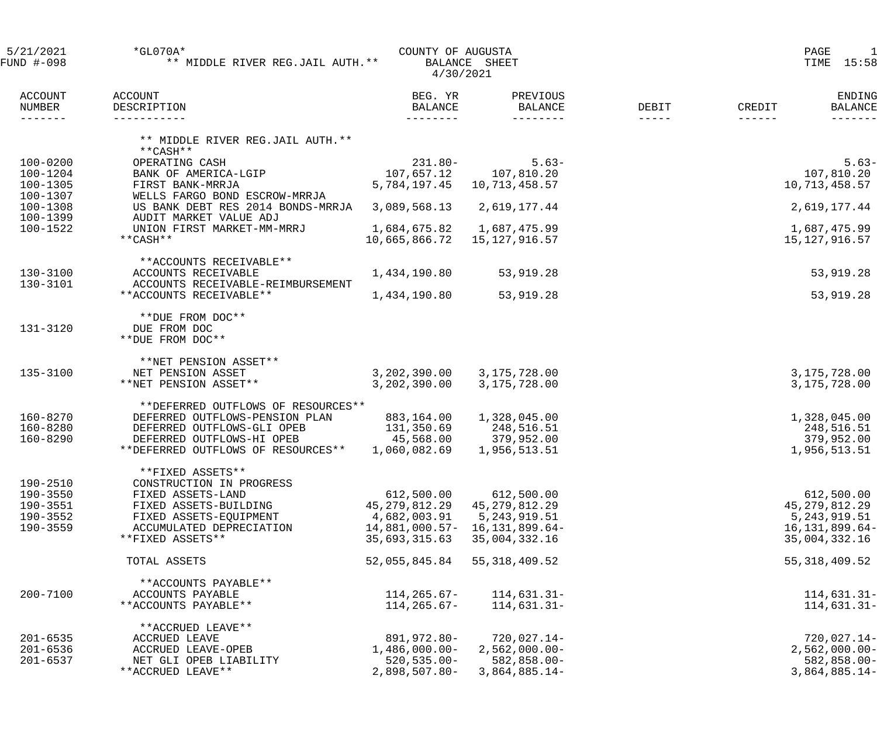| 5/21/2021<br>$*GLO70A*$<br>COUNTY OF AUGUSTA<br>** MIDDLE RIVER REG.JAIL AUTH. **<br>FUND #-098<br>BALANCE SHEET<br>4/30/2021 |                                          |                                       |                                        |                      | PAGE<br>15:58<br>TIME   |                          |  |
|-------------------------------------------------------------------------------------------------------------------------------|------------------------------------------|---------------------------------------|----------------------------------------|----------------------|-------------------------|--------------------------|--|
| <b>ACCOUNT</b><br>NUMBER<br>-------                                                                                           | ACCOUNT<br>DESCRIPTION<br>-----------    | BEG. YR<br><b>BALANCE</b><br>-------- | PREVIOUS<br><b>BALANCE</b><br>-------- | DEBIT<br>$- - - - -$ | CREDIT<br>$- - - - - -$ | ENDING<br><b>BALANCE</b> |  |
|                                                                                                                               | ** MIDDLE RIVER REG.JAIL AUTH. **        |                                       |                                        |                      |                         |                          |  |
|                                                                                                                               | $***$ CASH **                            |                                       |                                        |                      |                         |                          |  |
| $100 - 0200$                                                                                                                  | OPERATING CASH                           | $231.80 -$                            | $5.63-$                                |                      |                         | $5.63-$                  |  |
| $100 - 1204$<br>100-1305                                                                                                      | BANK OF AMERICA-LGIP<br>FIRST BANK-MRRJA | 107,657.12<br>5,784,197.45            | 107,810.20<br>10,713,458.57            |                      | 10,713,458.57           | 107,810.20               |  |
| 100-1307                                                                                                                      | WELLS FARGO BOND ESCROW-MRRJA            |                                       |                                        |                      |                         |                          |  |
| $100 - 1308$                                                                                                                  | US BANK DEBT RES 2014 BONDS-MRRJA        | 3,089,568.13                          | 2,619,177.44                           |                      | 2,619,177.44            |                          |  |
| 100-1399                                                                                                                      | AUDIT MARKET VALUE ADJ                   |                                       |                                        |                      |                         |                          |  |
| 100-1522                                                                                                                      | UNION FIRST MARKET-MM-MRRJ               | 1,684,675.82                          | 1,687,475.99                           |                      | 1,687,475.99            |                          |  |
|                                                                                                                               | $***$ CASH $***$                         | 10,665,866.72                         | 15, 127, 916.57                        |                      | 15,127,916.57           |                          |  |
|                                                                                                                               | **ACCOUNTS RECEIVABLE**                  |                                       |                                        |                      |                         |                          |  |
| $130 - 3100$                                                                                                                  | ACCOUNTS RECEIVABLE                      | 1,434,190.80                          | 53,919.28                              |                      |                         | 53,919.28                |  |
| 130-3101                                                                                                                      | ACCOUNTS RECEIVABLE-REIMBURSEMENT        |                                       |                                        |                      |                         |                          |  |
|                                                                                                                               | **ACCOUNTS RECEIVABLE**                  | 1,434,190.80                          | 53,919.28                              |                      |                         | 53,919.28                |  |
|                                                                                                                               |                                          |                                       |                                        |                      |                         |                          |  |
|                                                                                                                               | **DUE FROM DOC**                         |                                       |                                        |                      |                         |                          |  |
| 131-3120                                                                                                                      | DUE FROM DOC<br>**DUE FROM DOC**         |                                       |                                        |                      |                         |                          |  |
|                                                                                                                               |                                          |                                       |                                        |                      |                         |                          |  |
|                                                                                                                               | **NET PENSION ASSET**                    |                                       |                                        |                      |                         |                          |  |
| 135-3100                                                                                                                      | NET PENSION ASSET                        | 3,202,390.00                          | 3,175,728.00                           |                      | 3,175,728.00            |                          |  |
|                                                                                                                               | **NET PENSION ASSET**                    | 3,202,390.00                          | 3,175,728.00                           |                      | 3,175,728.00            |                          |  |
|                                                                                                                               | **DEFERRED OUTFLOWS OF RESOURCES**       |                                       |                                        |                      |                         |                          |  |
| 160-8270                                                                                                                      | DEFERRED OUTFLOWS-PENSION PLAN           | 883,164.00                            | 1,328,045.00                           |                      | 1,328,045.00            |                          |  |
| 160-8280                                                                                                                      | DEFERRED OUTFLOWS-GLI OPEB               | 131,350.69                            | 248,516.51                             |                      |                         | 248,516.51               |  |
| 160-8290                                                                                                                      | DEFERRED OUTFLOWS-HI OPEB                | 45,568.00                             | 379,952.00                             |                      |                         | 379,952.00               |  |
|                                                                                                                               | **DEFERRED OUTFLOWS OF RESOURCES**       | 1,060,082.69                          | 1,956,513.51                           |                      | 1,956,513.51            |                          |  |
|                                                                                                                               | **FIXED ASSETS**                         |                                       |                                        |                      |                         |                          |  |
| 190-2510                                                                                                                      | CONSTRUCTION IN PROGRESS                 |                                       |                                        |                      |                         |                          |  |
| 190-3550                                                                                                                      | FIXED ASSETS-LAND                        | 612,500.00                            | 612,500.00                             |                      |                         | 612,500.00               |  |
| 190-3551                                                                                                                      | FIXED ASSETS-BUILDING                    | 45,279,812.29                         | 45, 279, 812. 29                       |                      | 45,279,812.29           |                          |  |
| 190-3552                                                                                                                      | FIXED ASSETS-EQUIPMENT                   | 4,682,003.91                          | 5,243,919.51                           |                      |                         | 5,243,919.51             |  |
| 190-3559                                                                                                                      | ACCUMULATED DEPRECIATION                 | 14,881,000.57-                        | 16,131,899.64-                         |                      | 16,131,899.64-          |                          |  |
|                                                                                                                               | **FIXED ASSETS**                         | 35,693,315.63                         | 35,004,332.16                          |                      | 35,004,332.16           |                          |  |
|                                                                                                                               | TOTAL ASSETS                             | 52,055,845.84                         | 55, 318, 409.52                        |                      | 55, 318, 409.52         |                          |  |
|                                                                                                                               |                                          |                                       |                                        |                      |                         |                          |  |
|                                                                                                                               | **ACCOUNTS PAYABLE**                     |                                       |                                        |                      |                         |                          |  |
| $200 - 7100$                                                                                                                  | ACCOUNTS PAYABLE                         | 114,265.67-                           | $114,631.31-$                          |                      |                         | $114,631.31-$            |  |
|                                                                                                                               | **ACCOUNTS PAYABLE**                     | 114,265.67-                           | $114,631.31-$                          |                      |                         | 114,631.31-              |  |
|                                                                                                                               | **ACCRUED LEAVE**                        |                                       |                                        |                      |                         |                          |  |
| $201 - 6535$                                                                                                                  | ACCRUED LEAVE                            | 891,972.80-                           | $720,027.14-$                          |                      |                         | $720,027.14-$            |  |
| $201 - 6536$                                                                                                                  | ACCRUED LEAVE-OPEB                       | $1,486,000.00-$                       | $2,562,000.00-$                        |                      |                         | $2,562,000.00-$          |  |
| $201 - 6537$                                                                                                                  | NET GLI OPEB LIABILITY                   | $520, 535.00 -$                       | $582,858.00 -$                         |                      |                         | $582, 858.00 -$          |  |
|                                                                                                                               | **ACCRUED LEAVE**                        | 2,898,507.80-                         | $3,864,885.14-$                        |                      |                         | $3,864,885.14-$          |  |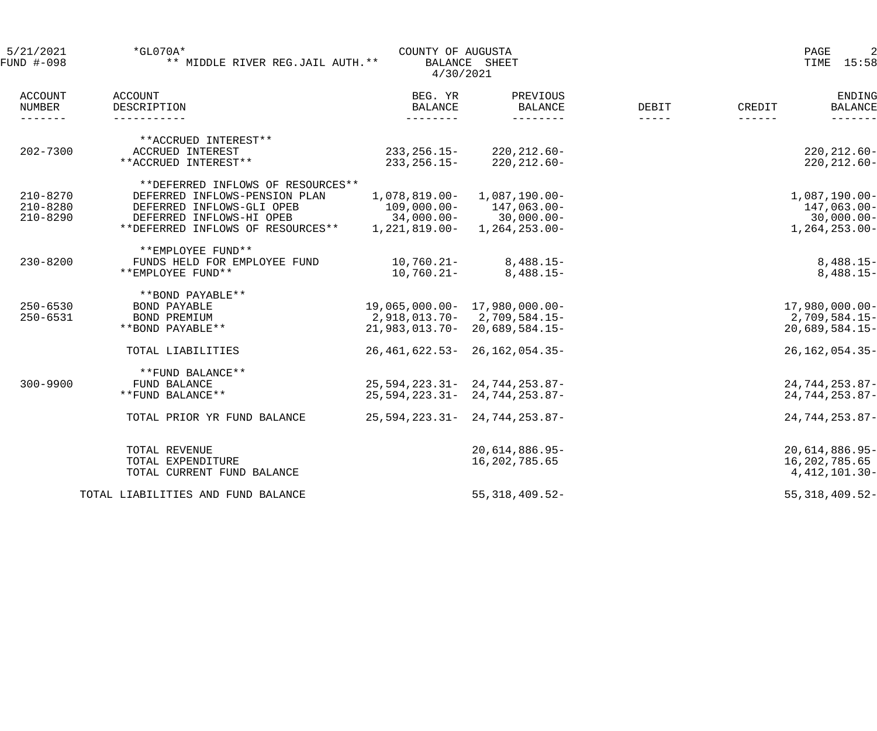| 5/21/2021<br>FUND #-098                     | $*GLO70A*$<br>** MIDDLE RIVER REG.JAIL AUTH. **   |                                         | PAGE<br>2<br>15:58<br>TIME              |                        |                                                       |
|---------------------------------------------|---------------------------------------------------|-----------------------------------------|-----------------------------------------|------------------------|-------------------------------------------------------|
| <b>ACCOUNT</b><br>NUMBER<br>$- - - - - - -$ | ACCOUNT<br>DESCRIPTION<br>------------            | BEG. YR<br>BALANCE<br>$- - - - - - - -$ | PREVIOUS<br><b>BALANCE</b><br>--------- | DEBIT<br>$- - - - - -$ | ENDING<br>CREDIT<br><b>BALANCE</b><br>$- - - - - - -$ |
| $202 - 7300$                                | **ACCRUED INTEREST**<br>ACCRUED INTEREST          | 233,256.15-                             | $220, 212.60 -$                         |                        | $220, 212.60 -$                                       |
|                                             | **ACCRUED INTEREST**                              | 233,256.15-                             | $220, 212.60 -$                         |                        | $220, 212.60 -$                                       |
|                                             | **DEFERRED INFLOWS OF RESOURCES**                 |                                         |                                         |                        |                                                       |
| $210 - 8270$                                | DEFERRED INFLOWS-PENSION PLAN                     | $1,078,819.00-$                         | $1,087,190.00 -$                        |                        | $1,087,190.00 -$                                      |
| $210 - 8280$                                | DEFERRED INFLOWS-GLI OPEB                         | $109,000.00-$                           | 147,063.00-                             |                        | 147,063.00-                                           |
| $210 - 8290$                                | DEFERRED INFLOWS-HI OPEB                          |                                         | $34,000.00 - 30,000.00 -$               |                        | $30,000.00 -$                                         |
|                                             | **DEFERRED INFLOWS OF RESOURCES**                 | 1,221,819.00-                           | $1, 264, 253.00 -$                      |                        | $1, 264, 253.00 -$                                    |
|                                             | **EMPLOYEE FUND**                                 |                                         |                                         |                        |                                                       |
| $230 - 8200$                                | FUNDS HELD FOR EMPLOYEE FUND<br>**EMPLOYEE FUND** | $10,760.21 -$<br>$10,760.21 -$          | $8,488.15-$                             |                        | $8,488.15-$                                           |
|                                             |                                                   |                                         | $8,488.15-$                             |                        | $8,488.15-$                                           |
|                                             | **BOND PAYABLE**                                  |                                         |                                         |                        |                                                       |
| $250 - 6530$<br>$250 - 6531$                | BOND PAYABLE                                      | 19,065,000.00- 17,980,000.00-           |                                         |                        | $17,980,000.00-$                                      |
|                                             | BOND PREMIUM                                      | 2,918,013.70-2,709,584.15-              |                                         |                        | 2,709,584.15-                                         |
|                                             | **BOND PAYABLE**                                  |                                         | 21,983,013.70-20,689,584.15-            |                        | $20,689,584.15-$                                      |
|                                             | TOTAL LIABILITIES                                 |                                         | 26, 461, 622. 53 - 26, 162, 054. 35 -   |                        | $26, 162, 054.35 -$                                   |
|                                             | **FUND BALANCE**                                  |                                         |                                         |                        |                                                       |
| $300 - 9900$                                | FUND BALANCE                                      |                                         | $25,594,223.31 - 24,744,253.87 -$       |                        | $24,744,253.87-$                                      |
|                                             | **FUND BALANCE**                                  |                                         | $25,594,223.31 - 24,744,253.87 -$       |                        | $24,744,253.87-$                                      |
|                                             | TOTAL PRIOR YR FUND BALANCE                       |                                         | $25,594,223.31 - 24,744,253.87 -$       |                        | $24,744,253.87-$                                      |
|                                             | TOTAL REVENUE                                     |                                         | $20,614,886.95-$                        |                        | $20,614,886.95-$                                      |
|                                             | TOTAL EXPENDITURE                                 |                                         | 16,202,785.65                           |                        | 16,202,785.65                                         |
|                                             | TOTAL CURRENT FUND BALANCE                        |                                         |                                         |                        | 4, 412, 101.30-                                       |
|                                             | TOTAL LIABILITIES AND FUND BALANCE                |                                         | $55,318,409.52-$                        |                        | $55,318,409.52-$                                      |
|                                             |                                                   |                                         |                                         |                        |                                                       |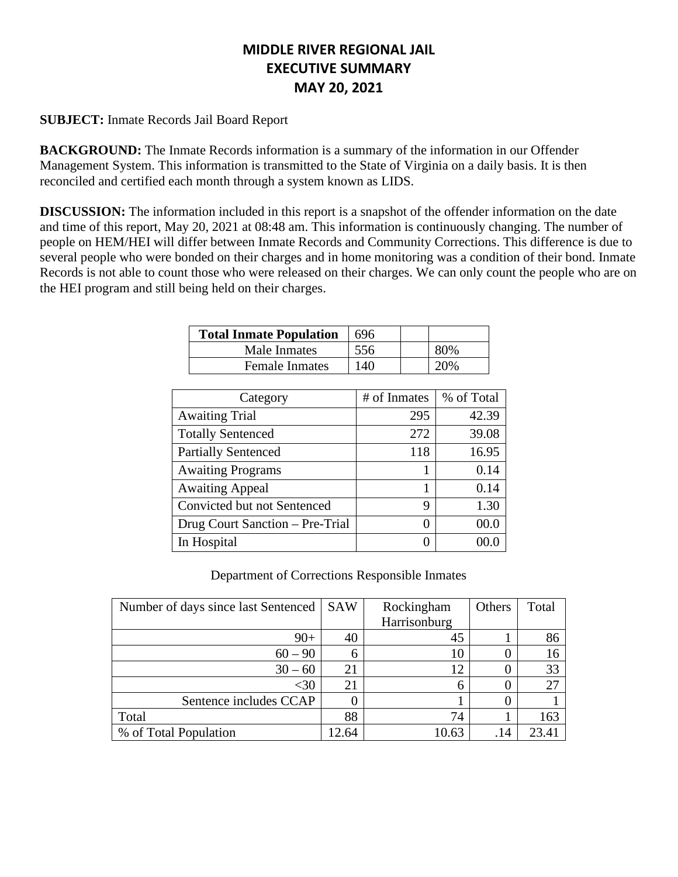# **MIDDLE RIVER REGIONAL JAIL EXECUTIVE SUMMARY MAY 20, 2021**

# **SUBJECT:** Inmate Records Jail Board Report

**BACKGROUND:** The Inmate Records information is a summary of the information in our Offender Management System. This information is transmitted to the State of Virginia on a daily basis. It is then reconciled and certified each month through a system known as LIDS.

**DISCUSSION:** The information included in this report is a snapshot of the offender information on the date and time of this report, May 20, 2021 at 08:48 am. This information is continuously changing. The number of people on HEM/HEI will differ between Inmate Records and Community Corrections. This difference is due to several people who were bonded on their charges and in home monitoring was a condition of their bond. Inmate Records is not able to count those who were released on their charges. We can only count the people who are on the HEI program and still being held on their charges.

| <b>Total Inmate Population</b> | 696 |     |
|--------------------------------|-----|-----|
| Male Inmates                   | 556 |     |
| <b>Female Inmates</b>          | 140 | 20% |

| Category                        | # of Inmates | % of Total |
|---------------------------------|--------------|------------|
| <b>Awaiting Trial</b>           | 295          | 42.39      |
| <b>Totally Sentenced</b>        | 272          | 39.08      |
| <b>Partially Sentenced</b>      | 118          | 16.95      |
| <b>Awaiting Programs</b>        |              | 0.14       |
| <b>Awaiting Appeal</b>          |              | 0.14       |
| Convicted but not Sentenced     | 9            | 1.30       |
| Drug Court Sanction - Pre-Trial | 0            | 00.0       |
| In Hospital                     | 0            |            |

Department of Corrections Responsible Inmates

| Number of days since last Sentenced | <b>SAW</b> | Rockingham   | Others | Total |
|-------------------------------------|------------|--------------|--------|-------|
|                                     |            | Harrisonburg |        |       |
| $90+$                               | 40         | 45           |        | 86    |
| $60 - 90$                           | 6          |              |        |       |
| $30 - 60$                           | 21         | 12           |        | 33    |
| $<$ 30                              | 21         | h            |        | 27    |
| Sentence includes CCAP              |            |              |        |       |
| Total                               | 88         | 74           |        | 163   |
| % of Total Population               | 12.64      | 10.63        | .14    | 23.41 |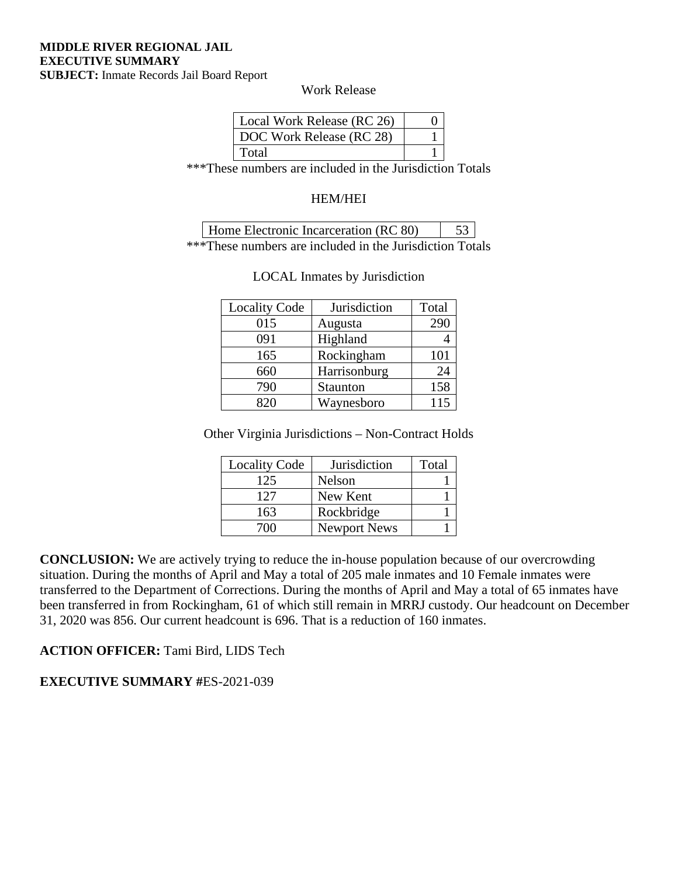Work Release

| Local Work Release (RC 26) |  |
|----------------------------|--|
| DOC Work Release (RC 28)   |  |
| Total                      |  |

\*\*\*These numbers are included in the Jurisdiction Totals

#### HEM/HEI

| Home Electronic Incarceration (RC 80) |  |  |  |  |  |
|---------------------------------------|--|--|--|--|--|
|                                       |  |  |  |  |  |

\*\*\*These numbers are included in the Jurisdiction Totals

| <b>Locality Code</b> | Jurisdiction | Total |
|----------------------|--------------|-------|
| 015                  | Augusta      | 290   |
| 091                  | Highland     |       |
| 165                  | Rockingham   | 101   |
| 660                  | Harrisonburg | 24    |
| 790                  | Staunton     | 158   |
| 820                  | Waynesboro   | 115   |

#### LOCAL Inmates by Jurisdiction

Other Virginia Jurisdictions – Non-Contract Holds

| <b>Locality Code</b> | Jurisdiction        | Total |
|----------------------|---------------------|-------|
| 125                  | Nelson              |       |
| 127                  | New Kent            |       |
| 163                  | Rockbridge          |       |
| 700                  | <b>Newport News</b> |       |

**CONCLUSION:** We are actively trying to reduce the in-house population because of our overcrowding situation. During the months of April and May a total of 205 male inmates and 10 Female inmates were transferred to the Department of Corrections. During the months of April and May a total of 65 inmates have been transferred in from Rockingham, 61 of which still remain in MRRJ custody. Our headcount on December 31, 2020 was 856. Our current headcount is 696. That is a reduction of 160 inmates.

# **ACTION OFFICER:** Tami Bird, LIDS Tech

**EXECUTIVE SUMMARY #**ES-2021-039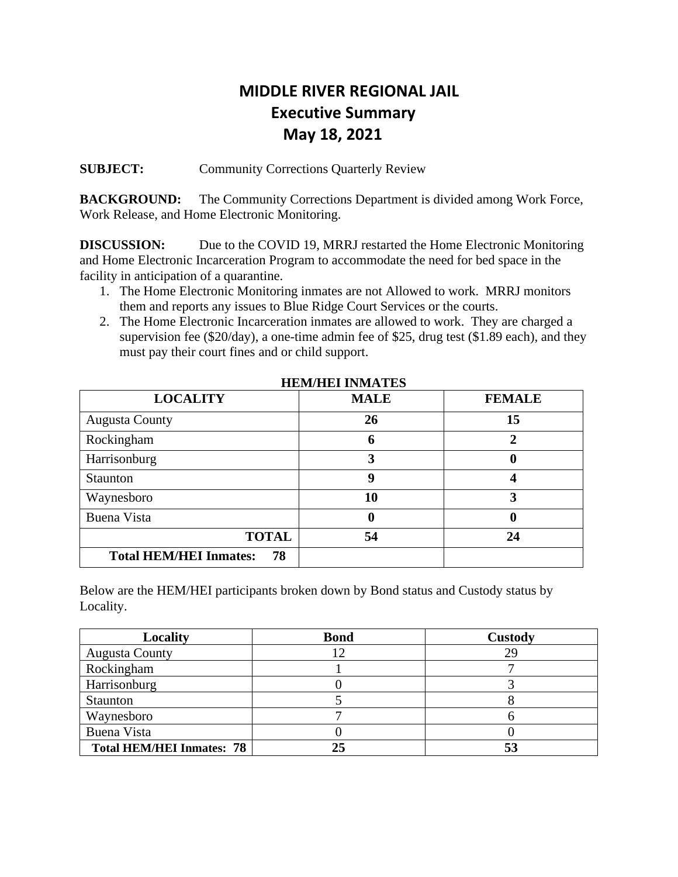# **MIDDLE RIVER REGIONAL JAIL Executive Summary May 18, 2021**

**SUBJECT:** Community Corrections Quarterly Review

**BACKGROUND:** The Community Corrections Department is divided among Work Force, Work Release, and Home Electronic Monitoring.

**DISCUSSION:** Due to the COVID 19, MRRJ restarted the Home Electronic Monitoring and Home Electronic Incarceration Program to accommodate the need for bed space in the facility in anticipation of a quarantine.

- 1. The Home Electronic Monitoring inmates are not Allowed to work. MRRJ monitors them and reports any issues to Blue Ridge Court Services or the courts.
- 2. The Home Electronic Incarceration inmates are allowed to work. They are charged a supervision fee (\$20/day), a one-time admin fee of \$25, drug test (\$1.89 each), and they must pay their court fines and or child support.

| <b>LOCALITY</b>                     | <b>MALE</b> | <b>FEMALE</b> |
|-------------------------------------|-------------|---------------|
| <b>Augusta County</b>               | 26          | 15            |
| Rockingham                          | 6           | 2             |
| Harrisonburg                        | 3           | O             |
| Staunton                            | 9           |               |
| Waynesboro                          | 10          | 3             |
| <b>Buena Vista</b>                  |             | 0             |
| <b>TOTAL</b>                        | 54          | 24            |
| <b>Total HEM/HEI Inmates:</b><br>78 |             |               |

 **HEM/HEI INMATES**

Below are the HEM/HEI participants broken down by Bond status and Custody status by Locality.

| Locality                         | <b>Bond</b> | <b>Custody</b> |
|----------------------------------|-------------|----------------|
| <b>Augusta County</b>            |             | 29             |
| Rockingham                       |             |                |
| Harrisonburg                     |             |                |
| Staunton                         |             |                |
| Waynesboro                       |             |                |
| Buena Vista                      |             |                |
| <b>Total HEM/HEI Inmates: 78</b> |             |                |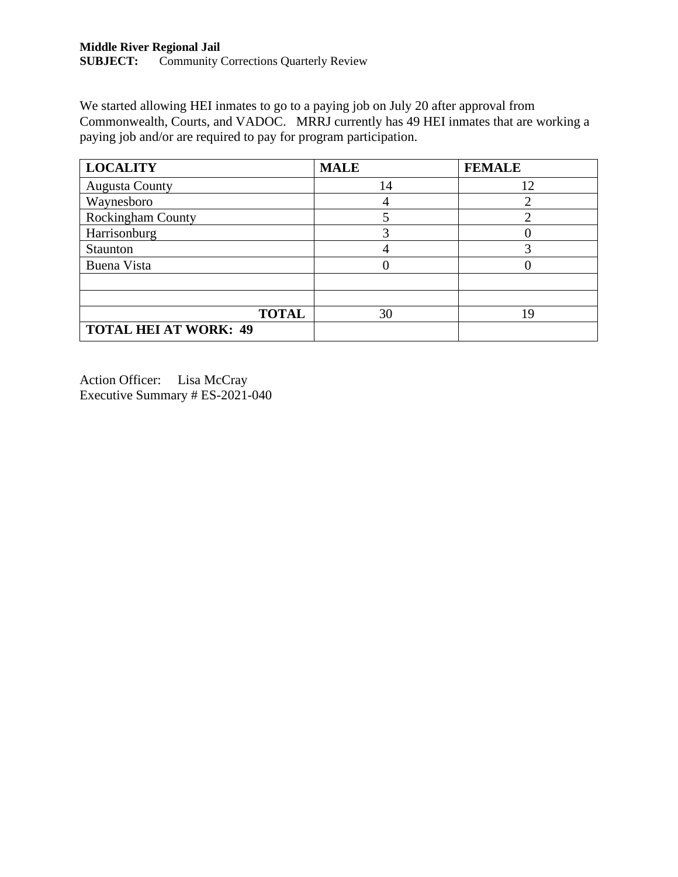We started allowing HEI inmates to go to a paying job on July 20 after approval from Commonwealth, Courts, and VADOC. MRRJ currently has 49 HEI inmates that are working a paying job and/or are required to pay for program participation.

| <b>LOCALITY</b>              | <b>MALE</b> | <b>FEMALE</b> |
|------------------------------|-------------|---------------|
| <b>Augusta County</b>        | 14          | 12            |
| Waynesboro                   |             |               |
| Rockingham County            |             |               |
| Harrisonburg                 |             |               |
| Staunton                     |             | 3             |
| Buena Vista                  |             |               |
|                              |             |               |
|                              |             |               |
| <b>TOTAL</b>                 | 30          | 19            |
| <b>TOTAL HEI AT WORK: 49</b> |             |               |

Action Officer: Lisa McCray Executive Summary # ES-2021-040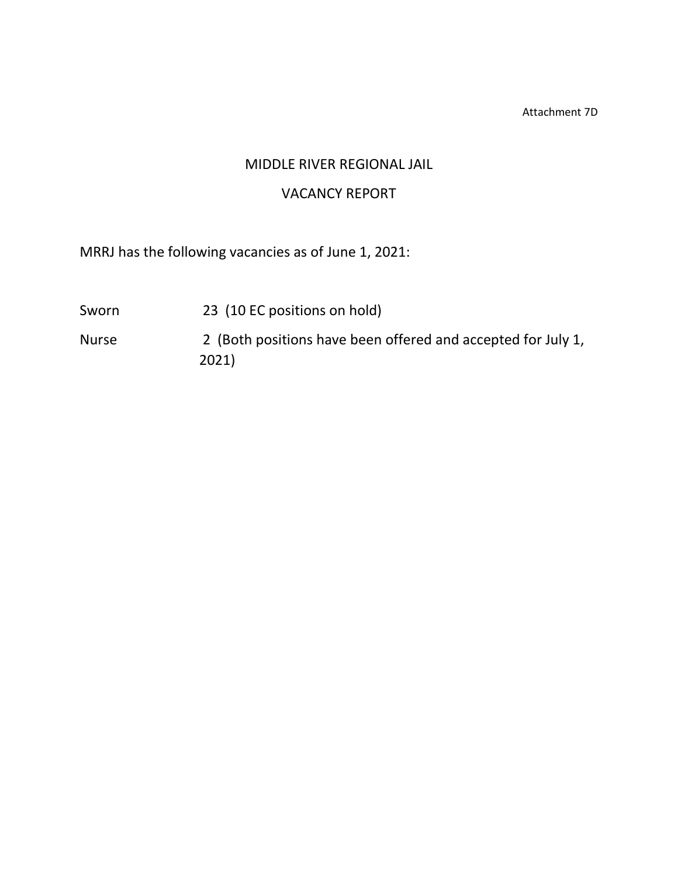Attachment 7D

# MIDDLE RIVER REGIONAL JAIL

# VACANCY REPORT

MRRJ has the following vacancies as of June 1, 2021:

- Sworn 23 (10 EC positions on hold)
- Nurse 2 (Both positions have been offered and accepted for July 1, 2021)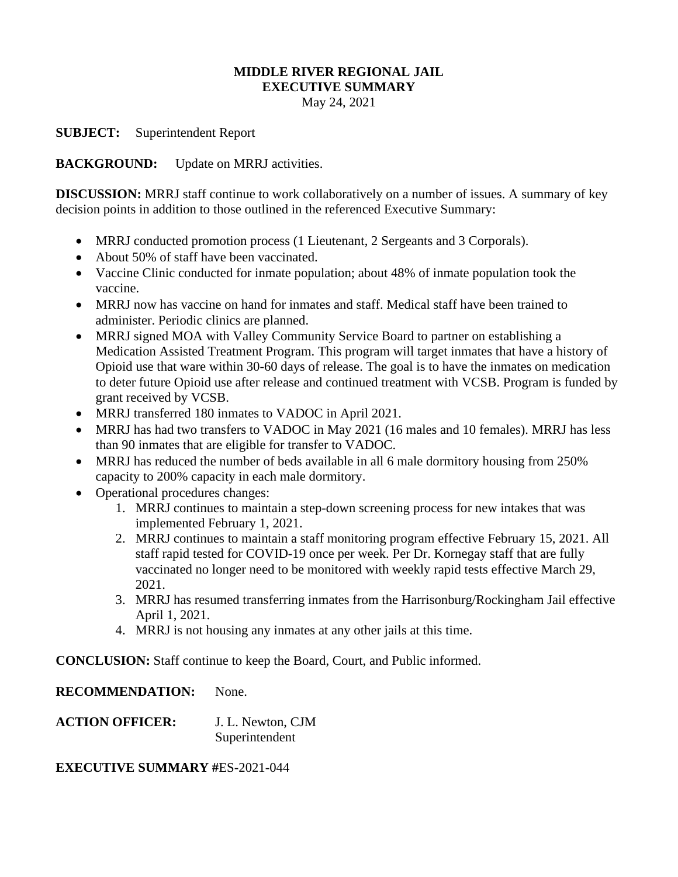#### **MIDDLE RIVER REGIONAL JAIL EXECUTIVE SUMMARY**

May 24, 2021

**SUBJECT:** Superintendent Report

**BACKGROUND:** Update on MRRJ activities.

**DISCUSSION:** MRRJ staff continue to work collaboratively on a number of issues. A summary of key decision points in addition to those outlined in the referenced Executive Summary:

- MRRJ conducted promotion process (1 Lieutenant, 2 Sergeants and 3 Corporals).
- About 50% of staff have been vaccinated.
- Vaccine Clinic conducted for inmate population; about 48% of inmate population took the vaccine.
- MRRJ now has vaccine on hand for inmates and staff. Medical staff have been trained to administer. Periodic clinics are planned.
- MRRJ signed MOA with Valley Community Service Board to partner on establishing a Medication Assisted Treatment Program. This program will target inmates that have a history of Opioid use that ware within 30-60 days of release. The goal is to have the inmates on medication to deter future Opioid use after release and continued treatment with VCSB. Program is funded by grant received by VCSB.
- MRRJ transferred 180 inmates to VADOC in April 2021.
- MRRJ has had two transfers to VADOC in May 2021 (16 males and 10 females). MRRJ has less than 90 inmates that are eligible for transfer to VADOC.
- MRRJ has reduced the number of beds available in all 6 male dormitory housing from 250% capacity to 200% capacity in each male dormitory.
- Operational procedures changes:
	- 1. MRRJ continues to maintain a step-down screening process for new intakes that was implemented February 1, 2021.
	- 2. MRRJ continues to maintain a staff monitoring program effective February 15, 2021. All staff rapid tested for COVID-19 once per week. Per Dr. Kornegay staff that are fully vaccinated no longer need to be monitored with weekly rapid tests effective March 29, 2021.
	- 3. MRRJ has resumed transferring inmates from the Harrisonburg/Rockingham Jail effective April 1, 2021.
	- 4. MRRJ is not housing any inmates at any other jails at this time.

**CONCLUSION:** Staff continue to keep the Board, Court, and Public informed.

**RECOMMENDATION:** None.

**ACTION OFFICER:** J. L. Newton, CJM Superintendent

**EXECUTIVE SUMMARY #**ES-2021-044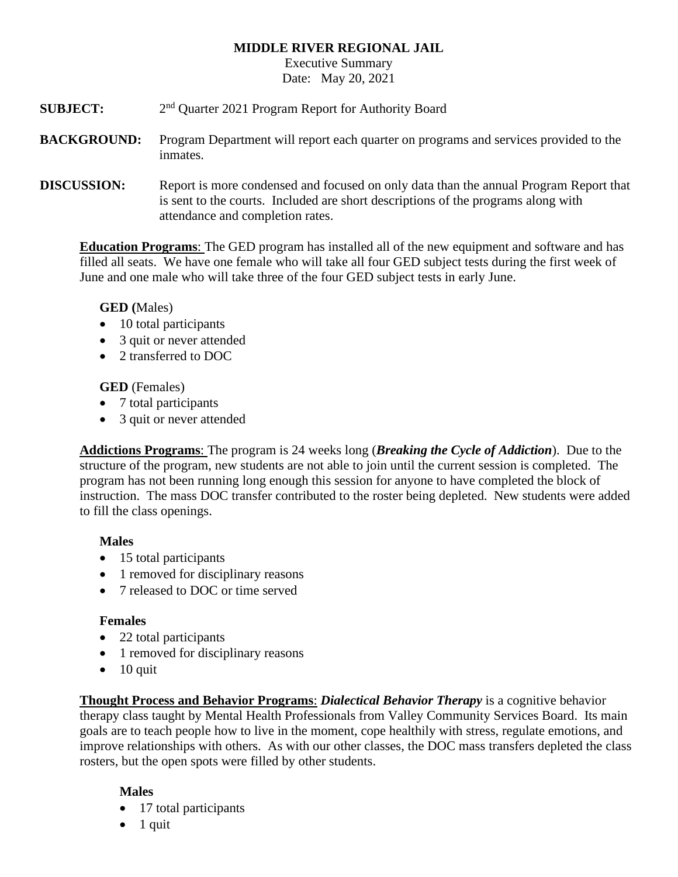# **MIDDLE RIVER REGIONAL JAIL**

Executive Summary Date: May 20, 2021

**SUBJECT:** 2<sup>nd</sup> Ouarter 2021 Program Report for Authority Board

**BACKGROUND:** Program Department will report each quarter on programs and services provided to the inmates.

**DISCUSSION:** Report is more condensed and focused on only data than the annual Program Report that is sent to the courts. Included are short descriptions of the programs along with attendance and completion rates.

**Education Programs**: The GED program has installed all of the new equipment and software and has filled all seats. We have one female who will take all four GED subject tests during the first week of June and one male who will take three of the four GED subject tests in early June.

# **GED (**Males)

- 10 total participants
- 3 quit or never attended
- 2 transferred to DOC

**GED** (Females)

- 7 total participants
- 3 quit or never attended

**Addictions Programs**: The program is 24 weeks long (*Breaking the Cycle of Addiction*). Due to the structure of the program, new students are not able to join until the current session is completed. The program has not been running long enough this session for anyone to have completed the block of instruction. The mass DOC transfer contributed to the roster being depleted. New students were added to fill the class openings.

# **Males**

- 15 total participants
- 1 removed for disciplinary reasons
- 7 released to DOC or time served

# **Females**

- 22 total participants
- 1 removed for disciplinary reasons
- $\bullet$  10 quit

**Thought Process and Behavior Programs**: *Dialectical Behavior Therapy* is a cognitive behavior therapy class taught by Mental Health Professionals from Valley Community Services Board. Its main goals are to teach people how to live in the moment, cope healthily with stress, regulate emotions, and improve relationships with others. As with our other classes, the DOC mass transfers depleted the class rosters, but the open spots were filled by other students.

# **Males**

- 17 total participants
- $\bullet$  1 quit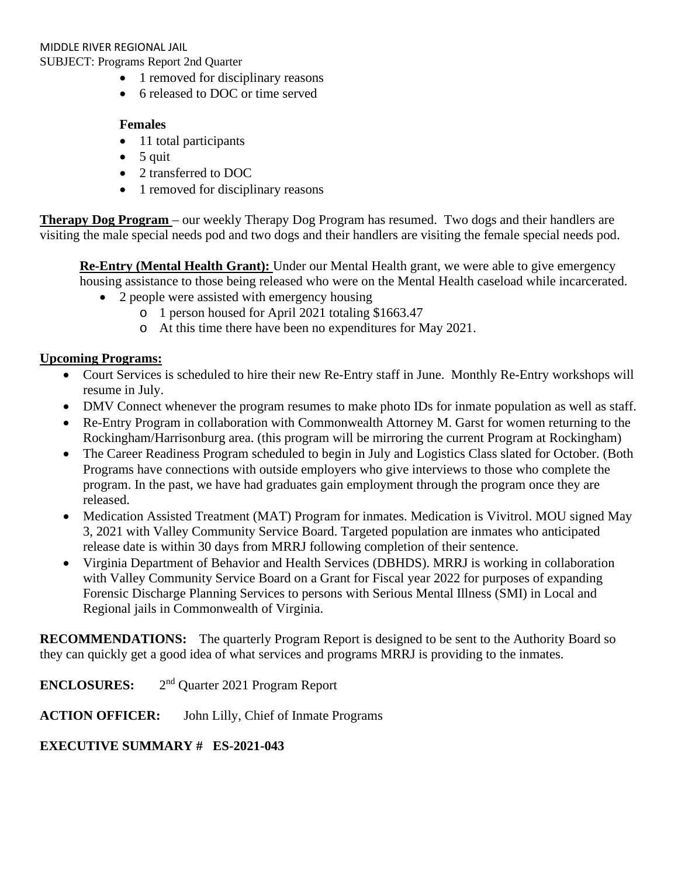- 1 removed for disciplinary reasons
- 6 released to DOC or time served

# **Females**

- 11 total participants
- $\bullet$  5 quit
- 2 transferred to DOC
- 1 removed for disciplinary reasons

**Therapy Dog Program** – our weekly Therapy Dog Program has resumed. Two dogs and their handlers are visiting the male special needs pod and two dogs and their handlers are visiting the female special needs pod.

**Re-Entry (Mental Health Grant):** Under our Mental Health grant, we were able to give emergency housing assistance to those being released who were on the Mental Health caseload while incarcerated.

- 2 people were assisted with emergency housing
	- o 1 person housed for April 2021 totaling \$1663.47
	- o At this time there have been no expenditures for May 2021.

# **Upcoming Programs:**

- Court Services is scheduled to hire their new Re-Entry staff in June. Monthly Re-Entry workshops will resume in July.
- DMV Connect whenever the program resumes to make photo IDs for inmate population as well as staff.
- Re-Entry Program in collaboration with Commonwealth Attorney M. Garst for women returning to the Rockingham/Harrisonburg area. (this program will be mirroring the current Program at Rockingham)
- The Career Readiness Program scheduled to begin in July and Logistics Class slated for October. (Both Programs have connections with outside employers who give interviews to those who complete the program. In the past, we have had graduates gain employment through the program once they are released.
- Medication Assisted Treatment (MAT) Program for inmates. Medication is Vivitrol. MOU signed May 3, 2021 with Valley Community Service Board. Targeted population are inmates who anticipated release date is within 30 days from MRRJ following completion of their sentence.
- Virginia Department of Behavior and Health Services (DBHDS). MRRJ is working in collaboration with Valley Community Service Board on a Grant for Fiscal year 2022 for purposes of expanding Forensic Discharge Planning Services to persons with Serious Mental Illness (SMI) in Local and Regional jails in Commonwealth of Virginia.

**RECOMMENDATIONS:** The quarterly Program Report is designed to be sent to the Authority Board so they can quickly get a good idea of what services and programs MRRJ is providing to the inmates.

**ENCLOSURES:** 2nd Quarter 2021 Program Report

**ACTION OFFICER:** John Lilly, Chief of Inmate Programs

# **EXECUTIVE SUMMARY # ES-2021-043**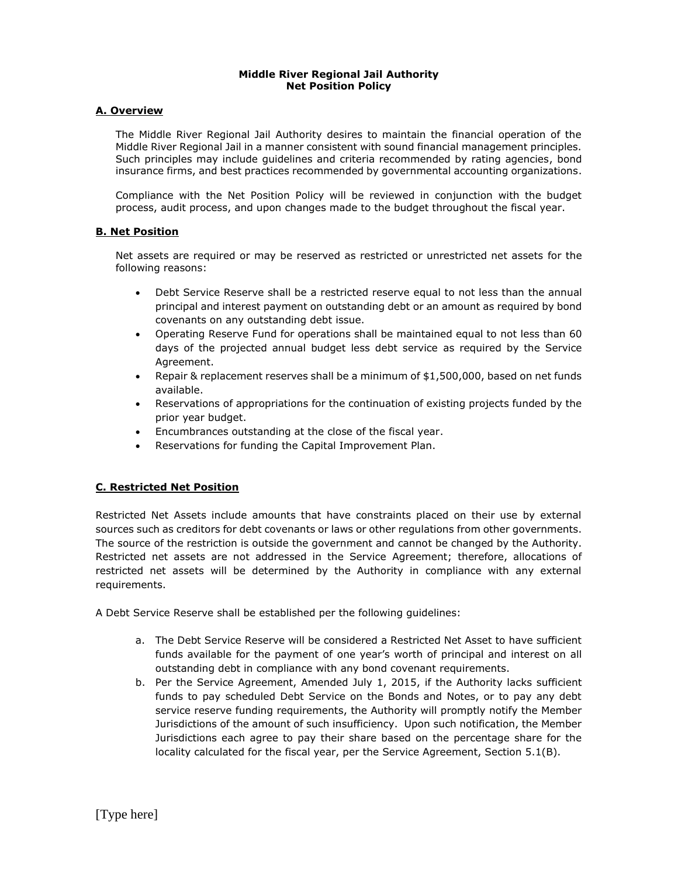#### **Middle River Regional Jail Authority Net Position Policy**

#### **A. Overview**

The Middle River Regional Jail Authority desires to maintain the financial operation of the Middle River Regional Jail in a manner consistent with sound financial management principles. Such principles may include guidelines and criteria recommended by rating agencies, bond insurance firms, and best practices recommended by governmental accounting organizations.

Compliance with the Net Position Policy will be reviewed in conjunction with the budget process, audit process, and upon changes made to the budget throughout the fiscal year.

#### **B. Net Position**

Net assets are required or may be reserved as restricted or unrestricted net assets for the following reasons:

- Debt Service Reserve shall be a restricted reserve equal to not less than the annual principal and interest payment on outstanding debt or an amount as required by bond covenants on any outstanding debt issue.
- Operating Reserve Fund for operations shall be maintained equal to not less than 60 days of the projected annual budget less debt service as required by the Service Agreement.
- Repair & replacement reserves shall be a minimum of \$1,500,000, based on net funds available.
- Reservations of appropriations for the continuation of existing projects funded by the prior year budget.
- Encumbrances outstanding at the close of the fiscal year.
- Reservations for funding the Capital Improvement Plan.

#### **C. Restricted Net Position**

Restricted Net Assets include amounts that have constraints placed on their use by external sources such as creditors for debt covenants or laws or other regulations from other governments. The source of the restriction is outside the government and cannot be changed by the Authority. Restricted net assets are not addressed in the Service Agreement; therefore, allocations of restricted net assets will be determined by the Authority in compliance with any external requirements.

A Debt Service Reserve shall be established per the following guidelines:

- a. The Debt Service Reserve will be considered a Restricted Net Asset to have sufficient funds available for the payment of one year's worth of principal and interest on all outstanding debt in compliance with any bond covenant requirements.
- b. Per the Service Agreement, Amended July 1, 2015, if the Authority lacks sufficient funds to pay scheduled Debt Service on the Bonds and Notes, or to pay any debt service reserve funding requirements, the Authority will promptly notify the Member Jurisdictions of the amount of such insufficiency. Upon such notification, the Member Jurisdictions each agree to pay their share based on the percentage share for the locality calculated for the fiscal year, per the Service Agreement, Section 5.1(B).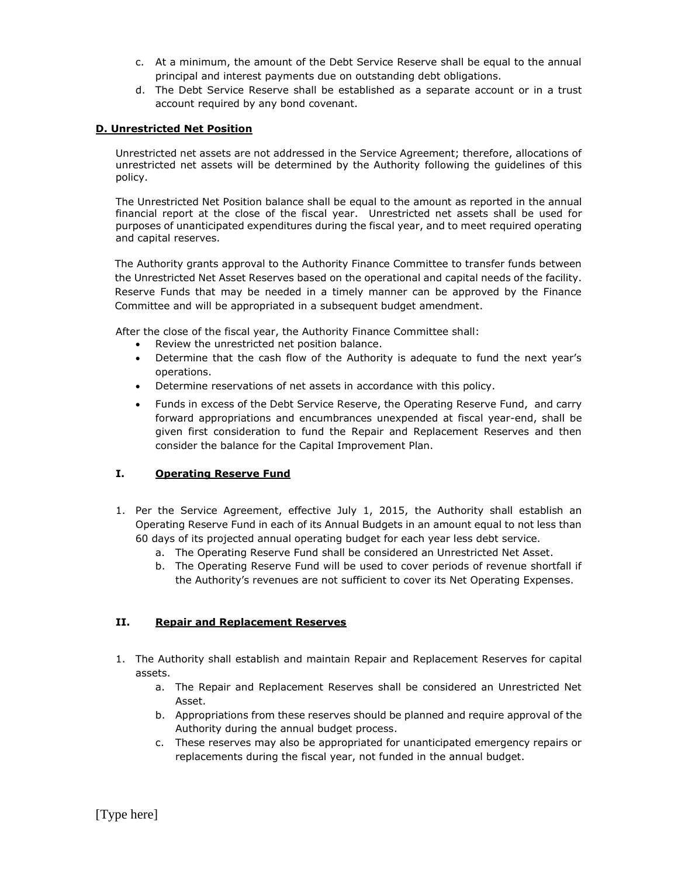- c. At a minimum, the amount of the Debt Service Reserve shall be equal to the annual principal and interest payments due on outstanding debt obligations.
- d. The Debt Service Reserve shall be established as a separate account or in a trust account required by any bond covenant.

#### **D. Unrestricted Net Position**

Unrestricted net assets are not addressed in the Service Agreement; therefore, allocations of unrestricted net assets will be determined by the Authority following the guidelines of this policy.

The Unrestricted Net Position balance shall be equal to the amount as reported in the annual financial report at the close of the fiscal year. Unrestricted net assets shall be used for purposes of unanticipated expenditures during the fiscal year, and to meet required operating and capital reserves.

The Authority grants approval to the Authority Finance Committee to transfer funds between the Unrestricted Net Asset Reserves based on the operational and capital needs of the facility. Reserve Funds that may be needed in a timely manner can be approved by the Finance Committee and will be appropriated in a subsequent budget amendment.

After the close of the fiscal year, the Authority Finance Committee shall:

- Review the unrestricted net position balance.
- Determine that the cash flow of the Authority is adequate to fund the next year's operations.
- Determine reservations of net assets in accordance with this policy.
- Funds in excess of the Debt Service Reserve, the Operating Reserve Fund, and carry forward appropriations and encumbrances unexpended at fiscal year-end, shall be given first consideration to fund the Repair and Replacement Reserves and then consider the balance for the Capital Improvement Plan.

#### **I. Operating Reserve Fund**

- 1. Per the Service Agreement, effective July 1, 2015, the Authority shall establish an Operating Reserve Fund in each of its Annual Budgets in an amount equal to not less than 60 days of its projected annual operating budget for each year less debt service.
	- a. The Operating Reserve Fund shall be considered an Unrestricted Net Asset.
	- b. The Operating Reserve Fund will be used to cover periods of revenue shortfall if the Authority's revenues are not sufficient to cover its Net Operating Expenses.

#### **II. Repair and Replacement Reserves**

- 1. The Authority shall establish and maintain Repair and Replacement Reserves for capital assets.
	- a. The Repair and Replacement Reserves shall be considered an Unrestricted Net Asset.
	- b. Appropriations from these reserves should be planned and require approval of the Authority during the annual budget process.
	- c. These reserves may also be appropriated for unanticipated emergency repairs or replacements during the fiscal year, not funded in the annual budget.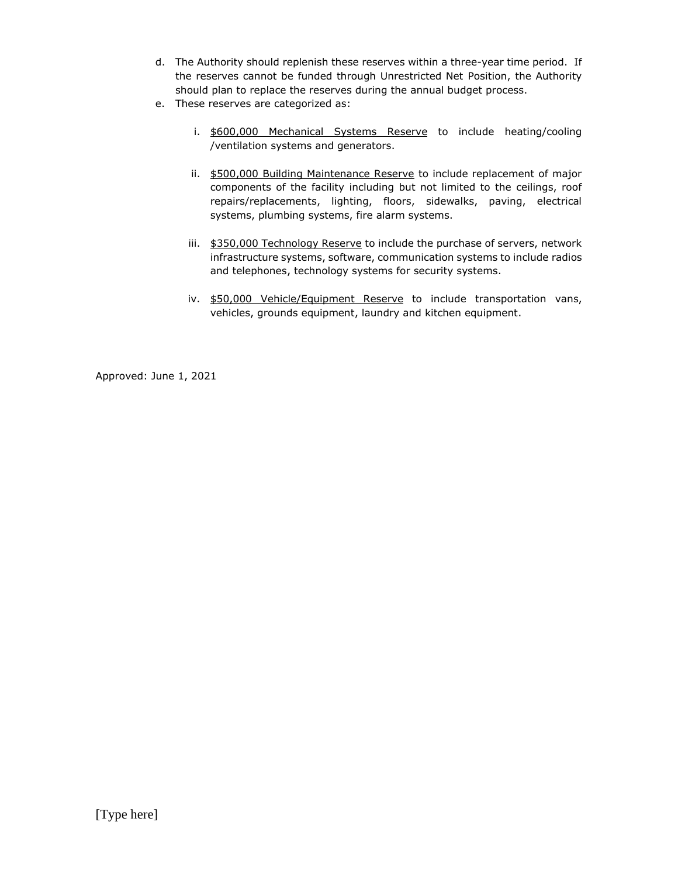- d. The Authority should replenish these reserves within a three-year time period. If the reserves cannot be funded through Unrestricted Net Position, the Authority should plan to replace the reserves during the annual budget process.
- e. These reserves are categorized as:
	- i. \$600,000 Mechanical Systems Reserve to include heating/cooling /ventilation systems and generators.
	- ii. \$500,000 Building Maintenance Reserve to include replacement of major components of the facility including but not limited to the ceilings, roof repairs/replacements, lighting, floors, sidewalks, paving, electrical systems, plumbing systems, fire alarm systems.
	- iii. \$350,000 Technology Reserve to include the purchase of servers, network infrastructure systems, software, communication systems to include radios and telephones, technology systems for security systems.
	- iv. \$50,000 Vehicle/Equipment Reserve to include transportation vans, vehicles, grounds equipment, laundry and kitchen equipment.

Approved: June 1, 2021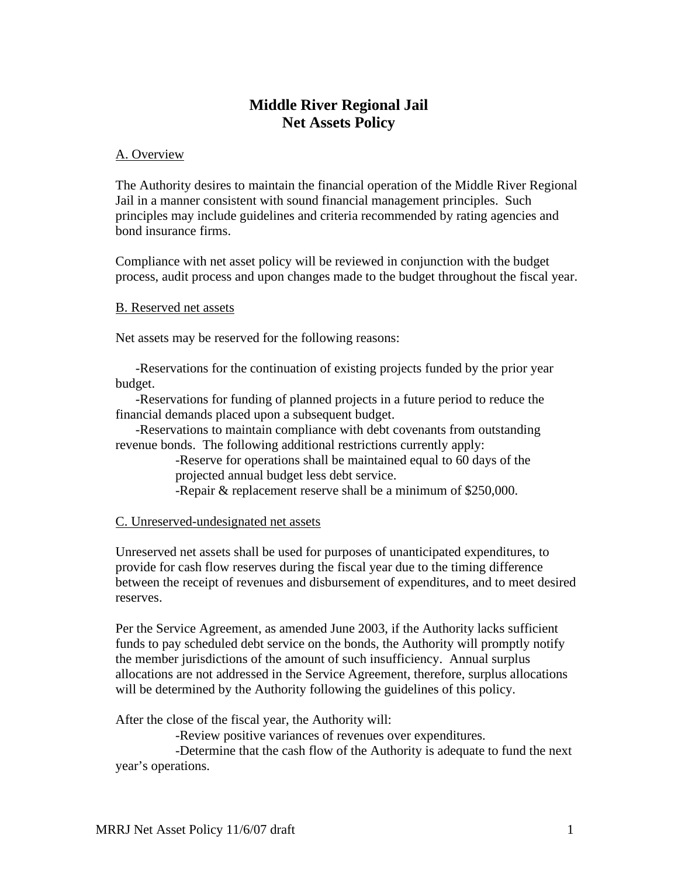# **Middle River Regional Jail Net Assets Policy**

# A. Overview

The Authority desires to maintain the financial operation of the Middle River Regional Jail in a manner consistent with sound financial management principles. Such principles may include guidelines and criteria recommended by rating agencies and bond insurance firms.

Compliance with net asset policy will be reviewed in conjunction with the budget process, audit process and upon changes made to the budget throughout the fiscal year.

#### B. Reserved net assets

Net assets may be reserved for the following reasons:

-Reservations for the continuation of existing projects funded by the prior year budget.

-Reservations for funding of planned projects in a future period to reduce the financial demands placed upon a subsequent budget.

-Reservations to maintain compliance with debt covenants from outstanding revenue bonds. The following additional restrictions currently apply:

> -Reserve for operations shall be maintained equal to 60 days of the projected annual budget less debt service.

-Repair & replacement reserve shall be a minimum of \$250,000.

#### C. Unreserved-undesignated net assets

Unreserved net assets shall be used for purposes of unanticipated expenditures, to provide for cash flow reserves during the fiscal year due to the timing difference between the receipt of revenues and disbursement of expenditures, and to meet desired reserves.

Per the Service Agreement, as amended June 2003, if the Authority lacks sufficient funds to pay scheduled debt service on the bonds, the Authority will promptly notify the member jurisdictions of the amount of such insufficiency. Annual surplus allocations are not addressed in the Service Agreement, therefore, surplus allocations will be determined by the Authority following the guidelines of this policy.

After the close of the fiscal year, the Authority will:

-Review positive variances of revenues over expenditures.

-Determine that the cash flow of the Authority is adequate to fund the next year's operations.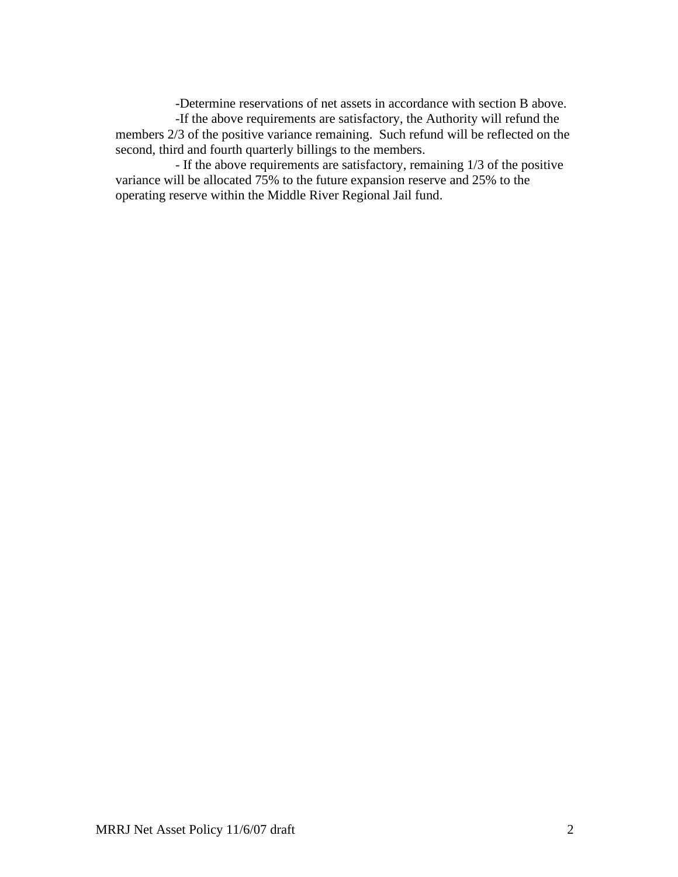-Determine reservations of net assets in accordance with section B above.

-If the above requirements are satisfactory, the Authority will refund the members 2/3 of the positive variance remaining. Such refund will be reflected on the second, third and fourth quarterly billings to the members.

- If the above requirements are satisfactory, remaining 1/3 of the positive variance will be allocated 75% to the future expansion reserve and 25% to the operating reserve within the Middle River Regional Jail fund.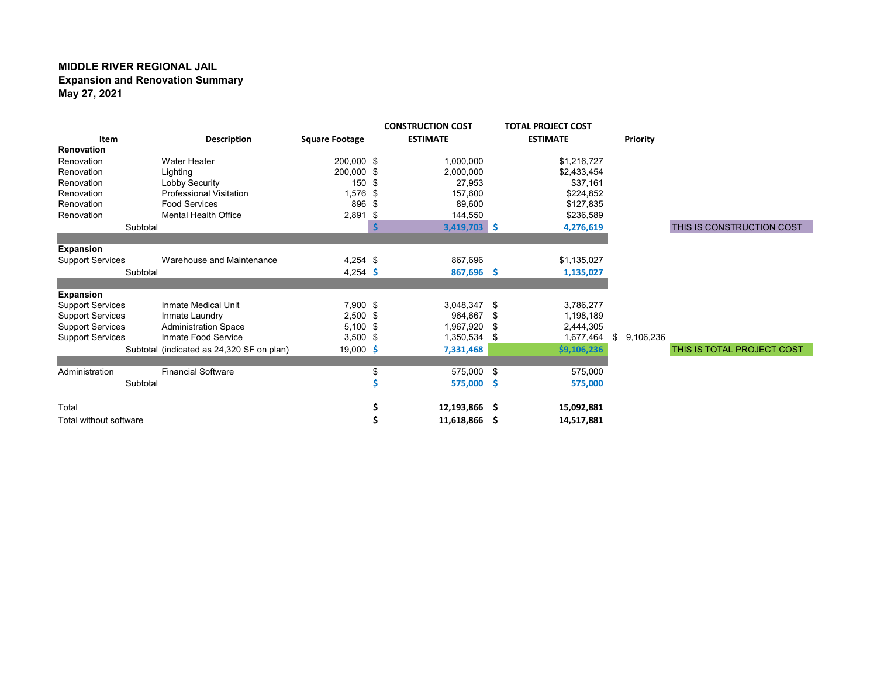#### **MIDDLE RIVER REGIONAL JAIL Expansion and Renovation Summary May 27, 2021**

|                         |                                           |                       |    | <b>CONSTRUCTION COST</b> |     | <b>TOTAL PROJECT COST</b> |                 |                            |
|-------------------------|-------------------------------------------|-----------------------|----|--------------------------|-----|---------------------------|-----------------|----------------------------|
| Item                    | <b>Description</b>                        | <b>Square Footage</b> |    | <b>ESTIMATE</b>          |     | <b>ESTIMATE</b>           | Priority        |                            |
| <b>Renovation</b>       |                                           |                       |    |                          |     |                           |                 |                            |
| Renovation              | <b>Water Heater</b>                       | 200,000 \$            |    | 1,000,000                |     | \$1,216,727               |                 |                            |
| Renovation              | Lighting                                  | 200,000 \$            |    | 2,000,000                |     | \$2,433,454               |                 |                            |
| Renovation              | Lobby Security                            | 150 \$                |    | 27,953                   |     | \$37,161                  |                 |                            |
| Renovation              | <b>Professional Visitation</b>            | 1,576 \$              |    | 157.600                  |     | \$224.852                 |                 |                            |
| Renovation              | <b>Food Services</b>                      | 896 \$                |    | 89,600                   |     | \$127,835                 |                 |                            |
| Renovation              | <b>Mental Health Office</b>               | $2,891$ \$            |    | 144,550                  |     | \$236,589                 |                 |                            |
|                         | Subtotal                                  |                       |    | $3,419,703$ \$           |     | 4,276,619                 |                 | THIS IS CONSTRUCTION COST  |
|                         |                                           |                       |    |                          |     |                           |                 |                            |
| Expansion               |                                           |                       |    |                          |     |                           |                 |                            |
| <b>Support Services</b> | Warehouse and Maintenance                 | $4,254$ \$            |    | 867,696                  |     | \$1,135,027               |                 |                            |
|                         | Subtotal                                  | 4,254 \$              |    | $867,696$ \$             |     | 1,135,027                 |                 |                            |
|                         |                                           |                       |    |                          |     |                           |                 |                            |
| Expansion               |                                           |                       |    |                          |     |                           |                 |                            |
| <b>Support Services</b> | Inmate Medical Unit                       | 7,900 \$              |    | 3,048,347                | -\$ | 3,786,277                 |                 |                            |
| <b>Support Services</b> | Inmate Laundry                            | $2,500$ \$            |    | 964,667                  | \$  | 1,198,189                 |                 |                            |
| <b>Support Services</b> | <b>Administration Space</b>               | $5,100$ \$            |    | 1,967,920                | -S  | 2,444,305                 |                 |                            |
| <b>Support Services</b> | Inmate Food Service                       | $3,500$ \$            |    | 1,350,534                | \$  | 1,677,464                 | \$<br>9,106,236 |                            |
|                         | Subtotal (indicated as 24,320 SF on plan) | $19,000$ \$           |    | 7,331,468                |     | \$9,106,236               |                 | THIS IS TOTAL PROJECT COST |
|                         |                                           |                       |    |                          |     |                           |                 |                            |
| Administration          | <b>Financial Software</b>                 |                       | \$ | 575,000 \$               |     | 575,000                   |                 |                            |
|                         | Subtotal                                  |                       |    | 575,000                  | - S | 575,000                   |                 |                            |
|                         |                                           |                       |    |                          |     |                           |                 |                            |
| Total                   |                                           |                       |    | 12,193,866               | -S  | 15,092,881                |                 |                            |
| Total without software  |                                           |                       |    | 11,618,866               | -\$ | 14,517,881                |                 |                            |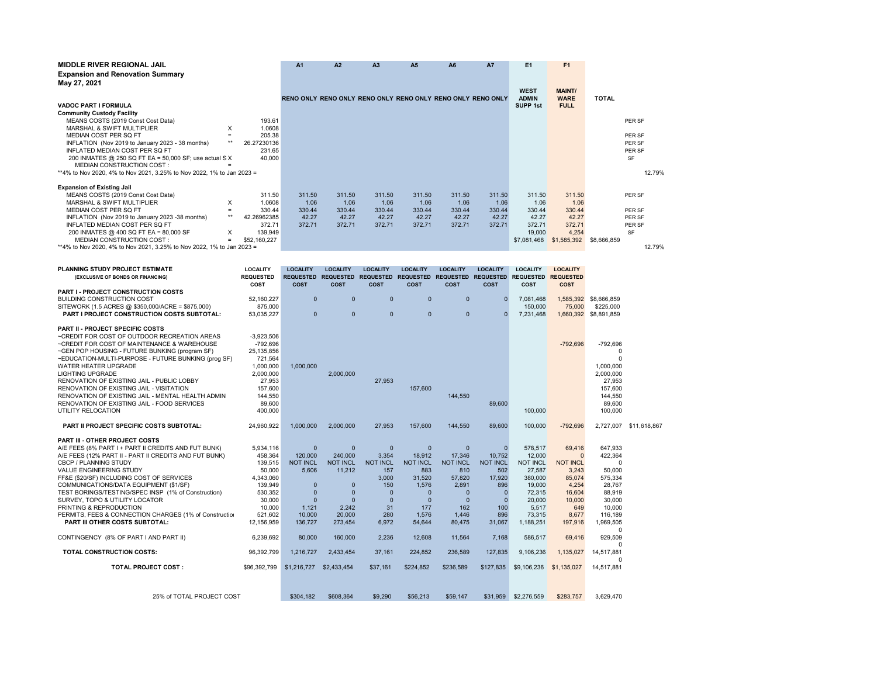| <b>MIDDLE RIVER REGIONAL JAIL</b>                                     |          | A <sub>1</sub> | A2                                                          | A <sub>3</sub> | A5     | A <sub>6</sub> | <b>A7</b> | E1     | F1           |               |              |           |
|-----------------------------------------------------------------------|----------|----------------|-------------------------------------------------------------|----------------|--------|----------------|-----------|--------|--------------|---------------|--------------|-----------|
| <b>Expansion and Renovation Summary</b>                               |          |                |                                                             |                |        |                |           |        |              |               |              |           |
| May 27, 2021                                                          |          |                |                                                             |                |        |                |           |        |              |               |              |           |
|                                                                       |          |                |                                                             |                |        |                |           |        | <b>WEST</b>  | <b>MAINT/</b> |              |           |
|                                                                       |          |                | RENO ONLY RENO ONLY RENO ONLY RENO ONLY RENO ONLY RENO ONLY |                |        |                |           |        | <b>ADMIN</b> | <b>WARE</b>   | <b>TOTAL</b> |           |
| <b>VADOC PART I FORMULA</b>                                           |          |                |                                                             |                |        |                |           |        | SUPP 1st     | <b>FULL</b>   |              |           |
| <b>Community Custody Facility</b>                                     |          |                |                                                             |                |        |                |           |        |              |               |              |           |
| MEANS COSTS (2019 Const Cost Data)                                    |          | 193.61         |                                                             |                |        |                |           |        |              |               |              | PER SF    |
| MARSHAL & SWIFT MULTIPLIER                                            | x        | 1.0608         |                                                             |                |        |                |           |        |              |               |              |           |
| MEDIAN COST PER SQ FT                                                 | $\equiv$ | 205.38         |                                                             |                |        |                |           |        |              |               |              | PER SF    |
| INFLATION (Nov 2019 to January 2023 - 38 months)                      | **       | 26.27230136    |                                                             |                |        |                |           |        |              |               |              | PER SF    |
| INFLATED MEDIAN COST PER SQ FT                                        |          | 231.65         |                                                             |                |        |                |           |        |              |               |              | PER SF    |
| 200 INMATES @ 250 SQ FT EA = 50,000 SF; use actual S X                |          | 40,000         |                                                             |                |        |                |           |        |              |               |              | <b>SF</b> |
| MEDIAN CONSTRUCTION COST:                                             |          |                |                                                             |                |        |                |           |        |              |               |              |           |
| **4% to Nov 2020, 4% to Nov 2021, 3.25% to Nov 2022, 1% to Jan 2023 = |          |                |                                                             |                |        |                |           |        |              |               |              | 12.79%    |
|                                                                       |          |                |                                                             |                |        |                |           |        |              |               |              |           |
| <b>Expansion of Existing Jail</b>                                     |          |                |                                                             |                |        |                |           |        |              |               |              |           |
| MEANS COSTS (2019 Const Cost Data)                                    |          | 311.50         | 311.50                                                      | 311.50         | 311.50 | 311.50         | 311.50    | 311.50 | 311.50       | 311.50        |              | PER SF    |
| MARSHAL & SWIFT MULTIPLIER                                            | X        | 1.0608         | 1.06                                                        | 1.06           | 1.06   | 1.06           | 1.06      | 1.06   | 1.06         | 1.06          |              |           |
| MEDIAN COST PER SQ FT                                                 | $=$      | 330.44         | 330.44                                                      | 330.44         | 330.44 | 330.44         | 330.44    | 330.44 | 330.44       | 330.44        |              | PER SF    |
| INFLATION (Nov 2019 to January 2023 -38 months)                       | $***$    | 42.26962385    | 42.27                                                       | 42.27          | 42.27  | 42.27          | 42.27     | 42.27  | 42.27        | 42.27         |              | PER SF    |
| INFLATED MEDIAN COST PER SQ FT                                        |          | 372.71         | 372.71                                                      | 372.71         | 372.71 | 372.71         | 372.71    | 372.71 | 372.71       | 372.71        |              | PER SF    |
| 200 INMATES @ 400 SQ FT EA = 80,000 SF                                | X        | 139,949        |                                                             |                |        |                |           |        | 19,000       | 4,254         |              | <b>SF</b> |
| <b>MEDIAN CONSTRUCTION COST:</b>                                      | $=$      | \$52,160,227   |                                                             |                |        |                |           |        | \$7,081,468  | \$1,585,392   | \$8,666,859  |           |
| **4% to Nov 2020, 4% to Nov 2021, 3.25% to Nov 2022, 1% to Jan 2023 = |          |                |                                                             |                |        |                |           |        |              |               |              | 12.79%    |

| PLANNING STUDY PROJECT ESTIMATE<br>(EXCLUSIVE OF BONDS OR FINANCING)                                                                                                                                                                                                                                                                                                                                                                                                                                                                  | <b>LOCALITY</b><br><b>REQUESTED</b><br>COST                                                                                        | <b>LOCALITY</b><br><b>COST</b>                                                                                                | <b>LOCALITY</b><br><b>COST</b>                                                                                                   | <b>LOCALITY</b><br><b>COST</b>                                                                                        | <b>LOCALITY</b><br><b>COST</b>                                                                                        | <b>LOCALITY</b><br>REQUESTED REQUESTED REQUESTED REQUESTED REQUESTED REQUESTED<br><b>COST</b>                         | <b>LOCALITY</b><br><b>COST</b>                                                                                        | <b>LOCALITY</b><br>REQUESTED REQUESTED<br>COST                                                                          | <b>LOCALITY</b><br><b>COST</b>                                                                                   |                                                                                                                                 |                        |
|---------------------------------------------------------------------------------------------------------------------------------------------------------------------------------------------------------------------------------------------------------------------------------------------------------------------------------------------------------------------------------------------------------------------------------------------------------------------------------------------------------------------------------------|------------------------------------------------------------------------------------------------------------------------------------|-------------------------------------------------------------------------------------------------------------------------------|----------------------------------------------------------------------------------------------------------------------------------|-----------------------------------------------------------------------------------------------------------------------|-----------------------------------------------------------------------------------------------------------------------|-----------------------------------------------------------------------------------------------------------------------|-----------------------------------------------------------------------------------------------------------------------|-------------------------------------------------------------------------------------------------------------------------|------------------------------------------------------------------------------------------------------------------|---------------------------------------------------------------------------------------------------------------------------------|------------------------|
| <b>PART I - PROJECT CONSTRUCTION COSTS</b><br>BUILDING CONSTRUCTION COST<br>SITEWORK (1.5 ACRES @ \$350,000/ACRE = \$875,000)<br><b>PART I PROJECT CONSTRUCTION COSTS SUBTOTAL:</b>                                                                                                                                                                                                                                                                                                                                                   | 52,160,227<br>875,000<br>53,035,227                                                                                                | $\mathbf{0}$<br>$\mathbf{0}$                                                                                                  | $\mathbf{0}$<br>$\Omega$                                                                                                         | $\mathbf 0$<br>$\mathbf{0}$                                                                                           | $\mathbf 0$<br>$\mathbf{0}$                                                                                           | $\mathbf{0}$<br>$\Omega$                                                                                              | $\mathbf{0}$<br>$\Omega$                                                                                              | 7,081,468<br>150,000<br>7,231,468                                                                                       | 75,000                                                                                                           | 1,585,392 \$8,666,859<br>\$225,000<br>1,660,392 \$8,891,859                                                                     |                        |
| <b>PART II - PROJECT SPECIFIC COSTS</b><br>~CREDIT FOR COST OF OUTDOOR RECREATION AREAS<br>~CREDIT FOR COST OF MAINTENANCE & WAREHOUSE<br>~GEN POP HOUSING - FUTURE BUNKING (program SF)<br>~EDUCATION-MULTI-PURPOSE - FUTURE BUNKING (prog SF)<br><b>WATER HEATER UPGRADE</b><br><b>LIGHTING UPGRADE</b><br>RENOVATION OF EXISTING JAIL - PUBLIC LOBBY<br>RENOVATION OF EXISTING JAIL - VISITATION<br>RENOVATION OF EXISTING JAIL - MENTAL HEALTH ADMIN<br>RENOVATION OF EXISTING JAIL - FOOD SERVICES<br>UTILITY RELOCATION         | $-3,923,506$<br>$-792,696$<br>25.135.856<br>721,564<br>1.000.000<br>2,000,000<br>27,953<br>157,600<br>144,550<br>89,600<br>400.000 | 1.000.000                                                                                                                     | 2,000,000                                                                                                                        | 27,953                                                                                                                | 157,600                                                                                                               | 144,550                                                                                                               | 89,600                                                                                                                | 100,000                                                                                                                 | $-792,696$                                                                                                       | -792,696<br>$\Omega$<br>$\Omega$<br>1.000.000<br>2,000,000<br>27,953<br>157,600<br>144,550<br>89.600<br>100,000                 |                        |
| <b>PART II PROJECT SPECIFIC COSTS SUBTOTAL:</b>                                                                                                                                                                                                                                                                                                                                                                                                                                                                                       | 24.960.922                                                                                                                         | 1.000.000                                                                                                                     | 2.000.000                                                                                                                        | 27.953                                                                                                                | 157,600                                                                                                               | 144.550                                                                                                               | 89,600                                                                                                                | 100,000                                                                                                                 | $-792.696$                                                                                                       |                                                                                                                                 | 2,727,007 \$11,618,867 |
| <b>PART III - OTHER PROJECT COSTS</b><br>A/E FEES (8% PART I + PART II CREDITS AND FUT BUNK)<br>A/E FEES (12% PART II - PART II CREDITS AND FUT BUNK)<br><b>CBCP / PLANNING STUDY</b><br><b>VALUE ENGINEERING STUDY</b><br>FF&E (\$20/SF) INCLUDING COST OF SERVICES<br>COMMUNICATIONS/DATA EQUIPMENT (\$1/SF)<br>TEST BORINGS/TESTING/SPEC INSP (1% of Construction)<br>SURVEY, TOPO & UTILITY LOCATOR<br>PRINTING & REPRODUCTION<br>PERMITS, FEES & CONNECTION CHARGES (1% of Construction<br><b>PART III OTHER COSTS SUBTOTAL:</b> | 5,934,116<br>458.364<br>139.515<br>50,000<br>4.343.060<br>139,949<br>530,352<br>30,000<br>10.000<br>521,602<br>12,156,959          | $\mathbf{0}$<br>120,000<br><b>NOT INCL</b><br>5,606<br>$\mathbf{0}$<br>$\mathbf{0}$<br>$\Omega$<br>1.121<br>10,000<br>136.727 | $\mathbf{0}$<br>240,000<br><b>NOT INCL</b><br>11,212<br>$\overline{0}$<br>$\mathbf{0}$<br>$\Omega$<br>2.242<br>20,000<br>273.454 | $\mathbf{0}$<br>3.354<br><b>NOT INCL</b><br>157<br>3.000<br>150<br>$\mathbf{0}$<br>$\mathbf{0}$<br>31<br>280<br>6.972 | $\mathbf{0}$<br>18.912<br><b>NOT INCL</b><br>883<br>31.520<br>1,576<br>$\Omega$<br>$\Omega$<br>177<br>1.576<br>54.644 | $\mathbf{0}$<br>17.346<br><b>NOT INCL</b><br>810<br>57.820<br>2,891<br>$\Omega$<br>$\Omega$<br>162<br>1,446<br>80.475 | $\mathbf{0}$<br>10.752<br><b>NOT INCL</b><br>502<br>17,920<br>896<br>$\mathbf{0}$<br>$\Omega$<br>100<br>896<br>31,067 | 578,517<br>12,000<br><b>NOT INCL</b><br>27,587<br>380,000<br>19,000<br>72.315<br>20,000<br>5.517<br>73,315<br>1,188,251 | 69,416<br>$\Omega$<br><b>NOT INCL</b><br>3,243<br>85.074<br>4,254<br>16.604<br>10,000<br>649<br>8,677<br>197,916 | 647,933<br>422,364<br>$\Omega$<br>50,000<br>575.334<br>28,767<br>88.919<br>30,000<br>10.000<br>116,189<br>1.969.505<br>$\Omega$ |                        |
| CONTINGENCY (8% OF PART I AND PART II)                                                                                                                                                                                                                                                                                                                                                                                                                                                                                                | 6.239.692                                                                                                                          | 80,000                                                                                                                        | 160,000                                                                                                                          | 2.236                                                                                                                 | 12.608                                                                                                                | 11.564                                                                                                                | 7.168                                                                                                                 | 586.517                                                                                                                 | 69,416                                                                                                           | 929.509<br>$\Omega$                                                                                                             |                        |
| <b>TOTAL CONSTRUCTION COSTS:</b>                                                                                                                                                                                                                                                                                                                                                                                                                                                                                                      | 96,392,799                                                                                                                         | 1.216.727                                                                                                                     | 2.433.454                                                                                                                        | 37.161                                                                                                                | 224,852                                                                                                               | 236,589                                                                                                               | 127,835                                                                                                               | 9,106,236                                                                                                               | 1,135,027                                                                                                        | 14,517,881<br>$\Omega$                                                                                                          |                        |
| <b>TOTAL PROJECT COST:</b>                                                                                                                                                                                                                                                                                                                                                                                                                                                                                                            | \$96,392,799                                                                                                                       | \$1,216,727                                                                                                                   | \$2,433,454                                                                                                                      | \$37.161                                                                                                              | \$224,852                                                                                                             | \$236,589                                                                                                             | \$127,835                                                                                                             | \$9,106,236                                                                                                             | \$1,135,027                                                                                                      | 14,517,881                                                                                                                      |                        |
| 25% of TOTAL PROJECT COST                                                                                                                                                                                                                                                                                                                                                                                                                                                                                                             |                                                                                                                                    | \$304.182                                                                                                                     | \$608.364                                                                                                                        | \$9,290                                                                                                               | \$56,213                                                                                                              | \$59,147                                                                                                              |                                                                                                                       | \$31,959 \$2,276,559                                                                                                    | \$283,757                                                                                                        | 3.629.470                                                                                                                       |                        |